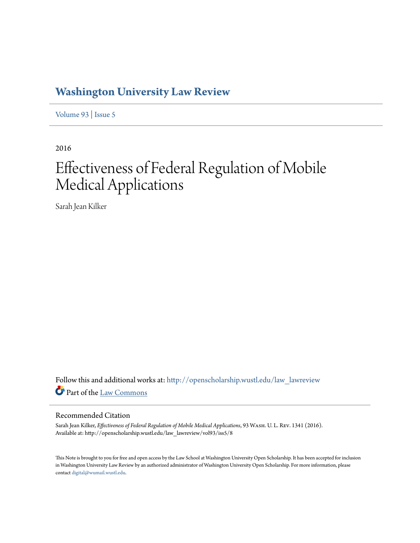## **[Washington University Law Review](http://openscholarship.wustl.edu/law_lawreview?utm_source=openscholarship.wustl.edu%2Flaw_lawreview%2Fvol93%2Fiss5%2F8&utm_medium=PDF&utm_campaign=PDFCoverPages)**

[Volume 93](http://openscholarship.wustl.edu/law_lawreview/vol93?utm_source=openscholarship.wustl.edu%2Flaw_lawreview%2Fvol93%2Fiss5%2F8&utm_medium=PDF&utm_campaign=PDFCoverPages) | [Issue 5](http://openscholarship.wustl.edu/law_lawreview/vol93/iss5?utm_source=openscholarship.wustl.edu%2Flaw_lawreview%2Fvol93%2Fiss5%2F8&utm_medium=PDF&utm_campaign=PDFCoverPages)

2016

# Effectiveness of Federal Regulation of Mobile Medical Applications

Sarah Jean Kilker

Follow this and additional works at: [http://openscholarship.wustl.edu/law\\_lawreview](http://openscholarship.wustl.edu/law_lawreview?utm_source=openscholarship.wustl.edu%2Flaw_lawreview%2Fvol93%2Fiss5%2F8&utm_medium=PDF&utm_campaign=PDFCoverPages) Part of the [Law Commons](http://network.bepress.com/hgg/discipline/578?utm_source=openscholarship.wustl.edu%2Flaw_lawreview%2Fvol93%2Fiss5%2F8&utm_medium=PDF&utm_campaign=PDFCoverPages)

#### Recommended Citation

Sarah Jean Kilker, *Effectiveness of Federal Regulation of Mobile Medical Applications*, 93 Wash. U. L. Rev. 1341 (2016). Available at: http://openscholarship.wustl.edu/law\_lawreview/vol93/iss5/8

This Note is brought to you for free and open access by the Law School at Washington University Open Scholarship. It has been accepted for inclusion in Washington University Law Review by an authorized administrator of Washington University Open Scholarship. For more information, please contact [digital@wumail.wustl.edu.](mailto:digital@wumail.wustl.edu)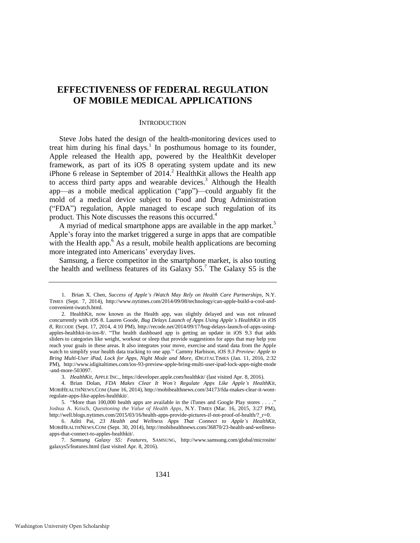### **EFFECTIVENESS OF FEDERAL REGULATION OF MOBILE MEDICAL APPLICATIONS**

#### <span id="page-1-3"></span><span id="page-1-2"></span><span id="page-1-1"></span>**INTRODUCTION**

Steve Jobs hated the design of the health-monitoring devices used to treat him during his final days.<sup>1</sup> In posthumous homage to its founder, Apple released the Health app, powered by the HealthKit developer framework, as part of its iOS 8 operating system update and its new iPhone 6 release in September of  $2014$ .<sup>2</sup> HealthKit allows the Health app to access third party apps and wearable devices.<sup>3</sup> Although the Health app—as a mobile medical application ("app")—could arguably fit the mold of a medical device subject to Food and Drug Administration ("FDA") regulation, Apple managed to escape such regulation of its product. This Note discusses the reasons this occurred.<sup>4</sup>

A myriad of medical smartphone apps are available in the app market.<sup>5</sup> Apple's foray into the market triggered a surge in apps that are compatible with the Health app.<sup>6</sup> As a result, mobile health applications are becoming more integrated into Americans' everyday lives.

<span id="page-1-0"></span>Samsung, a fierce competitor in the smartphone market, is also touting the health and wellness features of its Galaxy S5.<sup>7</sup> The Galaxy S5 is the

3. *HealthKit*, APPLE INC., https://developer.apple.com/healthkit/ (last visited Apr. 8, 2016).

4. Brian Dolan, *FDA Makes Clear It Won't Regulate Apps Like Apple's HealthKit*, MOBIHEALTHNEWS.COM (June 16, 2014), http://mobihealthnews.com/34173/fda-makes-clear-it-wontregulate-apps-like-apples-healthkit/.

1341

<sup>1.</sup> Brian X. Chen, *Success of Apple's iWatch May Rely on Health Care Partnerships*, N.Y. TIMES (Sept. 7, 2014), http://www.nytimes.com/2014/09/08/technology/can-apple-build-a-cool-andconvenient-iwatch.html.

<sup>2.</sup> HealthKit, now known as the Health app, was slightly delayed and was not released concurrently with iOS 8. Lauren Goode, *Bug Delays Launch of Apps Using Apple's HealthKit in iOS 8*, RECODE (Sept. 17, 2014, 4:10 PM), http://recode.net/2014/09/17/bug-delays-launch-of-apps-usingapples-healthkit-in-ios-8/. "The health dashboard app is getting an update in iOS 9.3 that adds sliders to categories like weight, workout or sleep that provide suggestions for apps that may help you reach your goals in these areas. It also integrates your move, exercise and stand data from the Apple watch to simplify your health data tracking to one app." Cammy Harbison, *iOS 9.3 Preview: Apple to Bring Multi-User iPad, Lock for Apps, Night Mode and More*, IDIGITALTIMES (Jan. 11, 2016, 2:32 PM), <http://www.idigitaltimes.com/ios-93-preview-apple-bring-multi-user-ipad-lock-apps-night-mode> -and-more-503097.

<sup>5. &</sup>quot;More than 100,000 health apps are available in the iTunes and Google Play stores . . . . Joshua A. Krisch, *Questioning the Value of Health Apps*, N.Y. TIMES (Mar. 16, 2015, 3:27 PM), http://well.blogs.nytimes.com/2015/03/16/health-apps-provide-pictures-if-not-proof-of-health/?\_r=0.

<sup>6.</sup> Aditi Pai, *23 Health and Wellness Apps That Connect to Apple's HealthKit*, MOBIHEALTHNEWS.COM (Sept. 30, 2014), http://mobihealthnews.com/36870/23-health-and-wellnessapps-that-connect-to-apples-healthkit/.

<sup>7.</sup> *Samsung Galaxy S5: Features*, SAMSUNG, http://www.samsung.com/global/microsite/ galaxys5/features.html (last visited Apr. 8, 2016).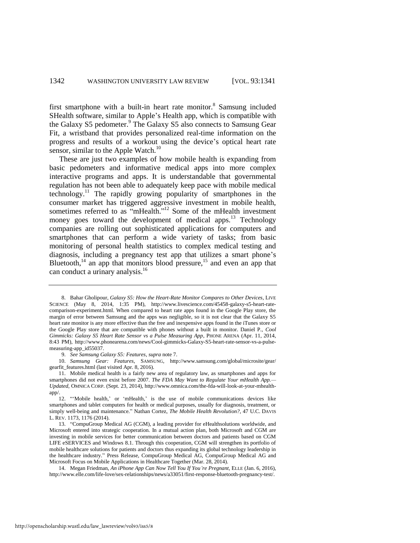first smartphone with a built-in heart rate monitor.<sup>8</sup> Samsung included SHealth software, similar to Apple's Health app, which is compatible with the Galaxy S5 pedometer.<sup>9</sup> The Galaxy S5 also connects to Samsung Gear Fit, a wristband that provides personalized real-time information on the progress and results of a workout using the device's optical heart rate sensor, similar to the Apple Watch. $^{10}$ 

<span id="page-2-1"></span><span id="page-2-0"></span>These are just two examples of how mobile health is expanding from basic pedometers and informative medical apps into more complex interactive programs and apps. It is understandable that governmental regulation has not been able to adequately keep pace with mobile medical technology.<sup>11</sup> The rapidly growing popularity of smartphones in the consumer market has triggered aggressive investment in mobile health, sometimes referred to as "mHealth."<sup>12</sup> Some of the mHealth investment money goes toward the development of medical apps.<sup>13</sup> Technology companies are rolling out sophisticated applications for computers and smartphones that can perform a wide variety of tasks; from basic monitoring of personal health statistics to complex medical testing and diagnosis, including a pregnancy test app that utilizes a smart phone's Bluetooth, $14$  an app that monitors blood pressure, $15$  and even an app that can conduct a urinary analysis. 16

<span id="page-2-2"></span><sup>8.</sup> Bahar Gholipour, *Galaxy S5: How the Heart-Rate Monitor Compares to Other Devices*, LIVE SCIENCE (May 8, 2014, 1:35 PM), http://www.livescience.com/45458-galaxy-s5-heart-ratecomparison-experiment.html. When compared to heart rate apps found in the Google Play store, the margin of error between Samsung and the apps was negligible, so it is not clear that the Galaxy S5 heart rate monitor is any more effective than the free and inexpensive apps found in the iTunes store or the Google Play store that are compatible with phones without a built in monitor. Daniel P., *Cool Gimmicks: Galaxy S5 Heart Rate Sensor vs a Pulse Measuring App*, PHONE ARENA (Apr. 11, 2014, 8:43 PM), http://www.phonearena.com/news/Cool-gimmicks-Galaxy-S5-heart-rate-sensor-vs-a-pulsemeasuring-app\_id55037.

<sup>9.</sup> *See Samsung Galaxy S5: Features*, *supra* not[e 7.](#page-1-0) 

<sup>10.</sup> *Samsung Gear: Features*, SAMSUNG, http://www.samsung.com/global/microsite/gear/ gearfit\_features.html (last visited Apr. 8, 2016).

<sup>11.</sup> Mobile medical health is a fairly new area of regulatory law, as smartphones and apps for smartphones did not even exist before 2007. *The FDA May Want to Regulate Your mHealth App.— Updated*, OMNICA CORP. (Sept. 23, 2014), http://www.omnica.com/the-fda-will-look-at-your-mhealthapp/.

<sup>12. &</sup>quot;'Mobile health,' or 'mHealth,' is the use of mobile communications devices like smartphones and tablet computers for health or medical purposes, usually for diagnosis, treatment, or simply well-being and maintenance." Nathan Cortez, *The Mobile Health Revolution?*, 47 U.C. DAVIS L. REV. 1173, 1176 (2014).

<sup>13. &</sup>quot;CompuGroup Medical AG (CGM), a leading provider for eHealthsolutions worldwide, and Microsoft entered into strategic cooperation. In a mutual action plan, both Microsoft and CGM are investing in mobile services for better communication between doctors and patients based on CGM LIFE eSERVICES and Windows 8.1. Through this cooperation, CGM will strengthen its portfolio of mobile healthcare solutions for patients and doctors thus expanding its global technology leadership in the healthcare industry." Press Release, CompuGroup Medical AG, CompuGroup Medical AG and Microsoft Focus on Mobile Applications in Healthcare Together (Mar. 28, 2014).

<sup>14.</sup> Megan Friedman, *An iPhone App Can Now Tell You If You're Pregnant*, ELLE (Jan. 6, 2016), http://www.elle.com/life-love/sex-relationships/news/a33051/first-response-bluetooth-pregnancy-test/.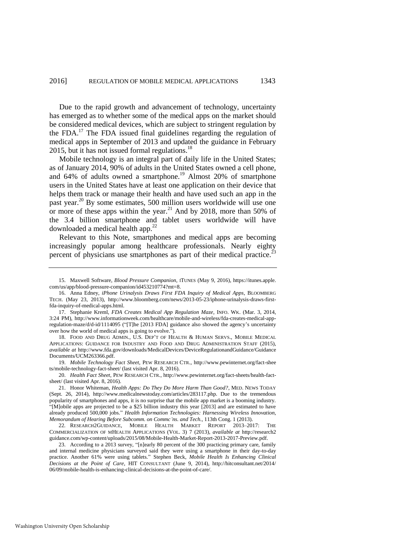Due to the rapid growth and advancement of technology, uncertainty has emerged as to whether some of the medical apps on the market should be considered medical devices, which are subject to stringent regulation by the FDA.<sup>17</sup> The FDA issued final guidelines regarding the regulation of medical apps in September of 2013 and updated the guidance in February 2015, but it has not issued formal regulations. $^{18}$ 

<span id="page-3-0"></span>Mobile technology is an integral part of daily life in the United States; as of January 2014, 90% of adults in the United States owned a cell phone, and 64% of adults owned a smartphone.<sup>19</sup> Almost 20% of smartphone users in the United States have at least one application on their device that helps them track or manage their health and have used such an app in the past year.<sup>20</sup> By some estimates, 500 million users worldwide will use one or more of these apps within the year.<sup>21</sup> And by 2018, more than 50% of the 3.4 billion smartphone and tablet users worldwide will have downloaded a medical health app.<sup>22</sup>

<span id="page-3-1"></span>Relevant to this Note, smartphones and medical apps are becoming increasingly popular among healthcare professionals. Nearly eighty percent of physicians use smartphones as part of their medical practice.<sup>23</sup>

18. FOOD AND DRUG ADMIN., U.S. DEP'T OF HEALTH & HUMAN SERVS., MOBILE MEDICAL APPLICATIONS: GUIDANCE FOR INDUSTRY AND FOOD AND DRUG ADMINISTRATION STAFF (2015), *available at* http://www.fda.gov/downloads/MedicalDevices/DeviceRegulationandGuidance/Guidance Documents/UCM263366.pdf.

19. *Mobile Technology Fact Sheet*, PEW RESEARCH CTR., http://www.pewinternet.org/fact-shee ts/mobile-technology-fact-sheet/ (last visited Apr. 8, 2016).

20. *Health Fact Sheet*, PEW RESEARCH CTR., http://www.pewinternet.org/fact-sheets/health-factsheet/ (last visited Apr. 8, 2016).

<sup>15.</sup> Maxwell Software, *Blood Pressure Companion*, ITUNES (May 9, 2016), https://itunes.apple. com/us/app/blood-pressure-companion/id453210774?mt=8.

<sup>16.</sup> Anna Edney, *iPhone Urinalysis Draws First FDA Inquiry of Medical Apps*, BLOOMBERG TECH. (May 23, 2013), http://www.bloomberg.com/news/2013-05-23/iphone-urinalysis-draws-firstfda-inquiry-of-medical-apps.html.

<sup>17.</sup> Stephanie Kreml, *FDA Creates Medical App Regulation Maze*, INFO. WK. (Mar. 3, 2014, 3:24 PM), http://www.informationweek.com/healthcare/mobile-and-wireless/fda-creates-medical-appregulation-maze/d/d-id/1114095 ("[T]he [2013 FDA] guidance also showed the agency's uncertainty over how the world of medical apps is going to evolve.").

<sup>21.</sup> Honor Whiteman, *Health Apps: Do They Do More Harm Than Good?*, MED. NEWS TODAY (Sept. 26, 2014), http://www.medicalnewstoday.com/articles/283117.php. Due to the tremendous popularity of smartphones and apps, it is no surprise that the mobile app market is a booming industry. "[M]obile apps are projected to be a \$25 billion industry this year [2013] and are estimated to have already produced 500,000 jobs." *Health Information Technologies: Harnessing Wireless Innovation, Memorandum of Hearing Before Subcomm. on Commc'ns. and Tech.*, 113th Cong. 1 (2013).

<sup>22</sup>*.* RESEARCH2GUIDANCE, MOBILE HEALTH MARKET REPORT 2013–2017: THE COMMERCIALIZATION OF MHEALTH APPLICATIONS (VOL. 3) 7 (2013), *available at* http://research2 guidance.com/wp-content/uploads/2015/08/Mobile-Health-Market-Report-2013-2017-Preview.pdf.

<sup>23.</sup> According to a 2013 survey, "[n]early 80 percent of the 300 practicing primary care, family and internal medicine physicians surveyed said they were using a smartphone in their day-to-day practice. Another 61% were using tablets." Stephen Beck, *Mobile Health Is Enhancing Clinical Decisions at the Point of Care*, HIT CONSULTANT (June 9, 2014), http://hitconsultant.net/2014/ 06/09/mobile-health-is-enhancing-clinical-decisions-at-the-point-of-care/.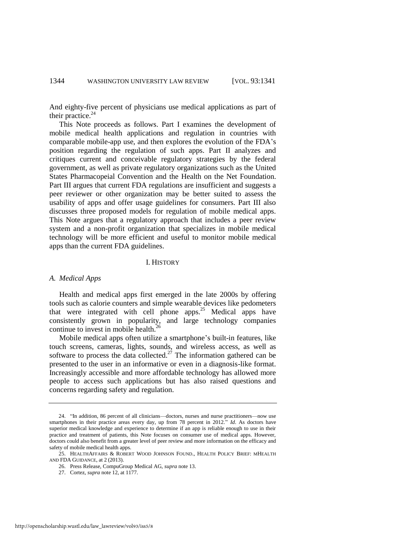And eighty-five percent of physicians use medical applications as part of their practice.<sup>24</sup>

This Note proceeds as follows. Part I examines the development of mobile medical health applications and regulation in countries with comparable mobile-app use, and then explores the evolution of the FDA's position regarding the regulation of such apps. Part II analyzes and critiques current and conceivable regulatory strategies by the federal government, as well as private regulatory organizations such as the United States Pharmacopeial Convention and the Health on the Net Foundation. Part III argues that current FDA regulations are insufficient and suggests a peer reviewer or other organization may be better suited to assess the usability of apps and offer usage guidelines for consumers. Part III also discusses three proposed models for regulation of mobile medical apps. This Note argues that a regulatory approach that includes a peer review system and a non-profit organization that specializes in mobile medical technology will be more efficient and useful to monitor mobile medical apps than the current FDA guidelines.

#### <span id="page-4-0"></span>I. HISTORY

#### *A. Medical Apps*

Health and medical apps first emerged in the late 2000s by offering tools such as calorie counters and simple wearable devices like pedometers that were integrated with cell phone apps.<sup>25</sup> Medical apps have consistently grown in popularity, and large technology companies continue to invest in mobile health.<sup>26</sup>

Mobile medical apps often utilize a smartphone's built-in features, like touch screens, cameras, lights, sounds, and wireless access, as well as software to process the data collected.<sup>27</sup> The information gathered can be presented to the user in an informative or even in a diagnosis-like format. Increasingly accessible and more affordable technology has allowed more people to access such applications but has also raised questions and concerns regarding safety and regulation.

<sup>24. &</sup>quot;In addition, 86 percent of all clinicians—doctors, nurses and nurse practitioners—now use smartphones in their practice areas every day, up from 78 percent in 2012." *Id*. As doctors have superior medical knowledge and experience to determine if an app is reliable enough to use in their practice and treatment of patients, this Note focuses on consumer use of medical apps. However, doctors could also benefit from a greater level of peer review and more information on the efficacy and safety of mobile medical health apps.

<sup>25.</sup> HEALTHAFFAIRS & ROBERT WOOD JOHNSON FOUND., HEALTH POLICY BRIEF: MHEALTH AND FDA GUIDANCE, at 2 (2013).

<sup>26.</sup> Press Release, CompuGroup Medical AG, *supra* note [13.](#page-2-0)

<sup>27.</sup> Cortez, *supra* not[e 12,](#page-2-1) at 1177.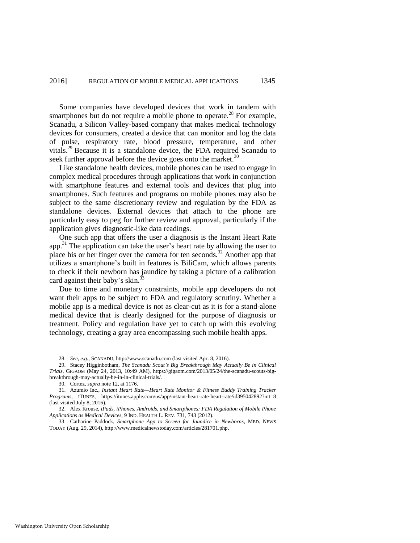Some companies have developed devices that work in tandem with smartphones but do not require a mobile phone to operate.<sup>28</sup> For example, Scanadu, a Silicon Valley-based company that makes medical technology devices for consumers, created a device that can monitor and log the data of pulse, respiratory rate, blood pressure, temperature, and other vitals.<sup>29</sup> Because it is a standalone device, the FDA required Scanadu to seek further approval before the device goes onto the market.<sup>30</sup>

Like standalone health devices, mobile phones can be used to engage in complex medical procedures through applications that work in conjunction with smartphone features and external tools and devices that plug into smartphones. Such features and programs on mobile phones may also be subject to the same discretionary review and regulation by the FDA as standalone devices. External devices that attach to the phone are particularly easy to peg for further review and approval, particularly if the application gives diagnostic-like data readings.

One such app that offers the user a diagnosis is the Instant Heart Rate app.<sup>31</sup> The application can take the user's heart rate by allowing the user to place his or her finger over the camera for ten seconds.<sup>32</sup> Another app that utilizes a smartphone's built in features is BiliCam, which allows parents to check if their newborn has jaundice by taking a picture of a calibration card against their baby's skin.<sup>33</sup>

Due to time and monetary constraints, mobile app developers do not want their apps to be subject to FDA and regulatory scrutiny. Whether a mobile app is a medical device is not as clear-cut as it is for a stand-alone medical device that is clearly designed for the purpose of diagnosis or treatment. Policy and regulation have yet to catch up with this evolving technology, creating a gray area encompassing such mobile health apps.

<sup>28.</sup> *See, e.g.*, SCANADU, http://www.scanadu.com (last visited Apr. 8, 2016).

<sup>29.</sup> Stacey Higginbotham, *The Scanadu Scout's Big Breakthrough May Actually Be in Clinical Trials*, GIGAOM (May 24, 2013, 10:49 AM), https://gigaom.com/2013/05/24/the-scanadu-scouts-bigbreakthrough-may-actually-be-in-in-clinical-trials/.

<sup>30.</sup> Cortez, *supra* not[e 12,](#page-2-1) at 1176.

<sup>31.</sup> Azumio Inc., *Instant Heart Rate—Heart Rate Monitor & Fitness Buddy Training Tracker Programs*, ITUNES, https://itunes.apple.com/us/app/instant-heart-rate-heart-rate/id395042892?mt=8 (last visited July 8, 2016).

<sup>32.</sup> Alex Krouse, *iPads, iPhones, Androids, and Smartphones: FDA Regulation of Mobile Phone Applications as Medical Devices*, 9 IND. HEALTH L. REV. 731, 743 (2012).

<sup>33.</sup> Catharine Paddock, *Smartphone App to Screen for Jaundice in Newborns*, MED. NEWS TODAY (Aug. 29, 2014), http://www.medicalnewstoday.com/articles/281701.php.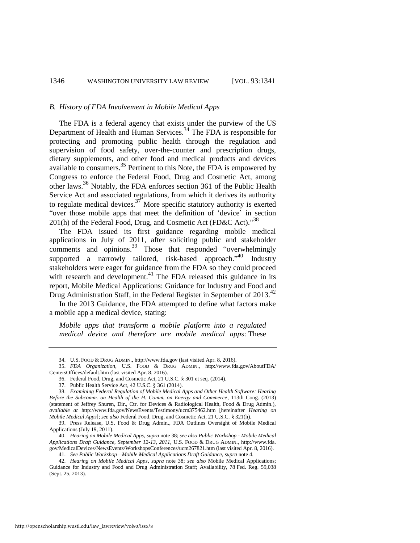#### *B. History of FDA Involvement in Mobile Medical Apps*

The FDA is a federal agency that exists under the purview of the US Department of Health and Human Services.<sup>34</sup> The FDA is responsible for protecting and promoting public health through the regulation and supervision of food safety, over-the-counter and prescription drugs, dietary supplements, and other food and medical products and devices available to consumers.<sup>35</sup> Pertinent to this Note, the FDA is empowered by Congress to enforce the Federal Food, Drug and Cosmetic Act, among other laws.<sup>36</sup> Notably, the FDA enforces section 361 of the Public Health Service Act and associated regulations, from which it derives its authority to regulate medical devices.<sup>37</sup> More specific statutory authority is exerted "over those mobile apps that meet the definition of 'device' in section 201(h) of the Federal Food, Drug, and Cosmetic Act (FD&C Act)."<sup>38</sup>

<span id="page-6-0"></span>The FDA issued its first guidance regarding mobile medical applications in July of 2011, after soliciting public and stakeholder comments and opinions.<sup>39</sup> Those that responded "overwhelmingly supported a narrowly tailored, risk-based approach."<sup>40</sup> Industry stakeholders were eager for guidance from the FDA so they could proceed with research and development.<sup>41</sup> The FDA released this guidance in its report, Mobile Medical Applications: Guidance for Industry and Food and Drug Administration Staff, in the Federal Register in September of 2013.<sup>42</sup>

In the 2013 Guidance, the FDA attempted to define what factors make a mobile app a medical device, stating:

*Mobile apps that transform a mobile platform into a regulated medical device and therefore are mobile medical apps*: These

<sup>34.</sup> U.S. FOOD & DRUG ADMIN., http://www.fda.gov (last visited Apr. 8, 2016).

<sup>35.</sup> *FDA Organization*, U.S. FOOD & DRUG ADMIN., http://www.fda.gov/AboutFDA/ CentersOffices/default.htm (last visited Apr. 8, 2016).

<sup>36.</sup> Federal Food, Drug, and Cosmetic Act, 21 U.S.C. § 301 et seq. (2014).

<sup>37.</sup> Public Health Service Act, 42 U.S.C. § 361 (2014).

<sup>38.</sup> *Examining Federal Regulation of Mobile Medical Apps and Other Health Software: Hearing Before the Subcomm. on Health of the H. Comm. on Energy and Commerce*, 113th Cong. (2013) (statement of Jeffrey Shuren, Dir., Ctr. for Devices & Radiological Health, Food & Drug Admin.), *available at* http://www.fda.gov/NewsEvents/Testimony/ucm375462.htm [hereinafter *Hearing on Mobile Medical Apps*]; *see also* Federal Food, Drug, and Cosmetic Act, 21 U.S.C. § 321(h).

<sup>39.</sup> Press Release, U.S. Food & Drug Admin., FDA Outlines Oversight of Mobile Medical Applications (July 19, 2011).

<sup>40.</sup> *Hearing on Mobile Medical Apps*, *supra* note [38;](#page-6-0) *see also Public Workshop - Mobile Medical Applications Draft Guidance, September 12-13, 2011*, U.S. FOOD & DRUG ADMIN., http://www.fda. gov/MedicalDevices/NewsEvents/WorkshopsConferences/ucm267821.htm (last visited Apr. 8, 2016).

<sup>41.</sup> *See Public Workshop—Mobile Medical Applications Draft Guidance*, *supra* not[e 4.](#page-1-1)

<sup>42.</sup> *Hearing on Mobile Medical Apps*, *supra* note [38;](#page-6-0) *see also* Mobile Medical Applications; Guidance for Industry and Food and Drug Administration Staff; Availability, 78 Fed. Reg. 59,038 (Sept. 25, 2013).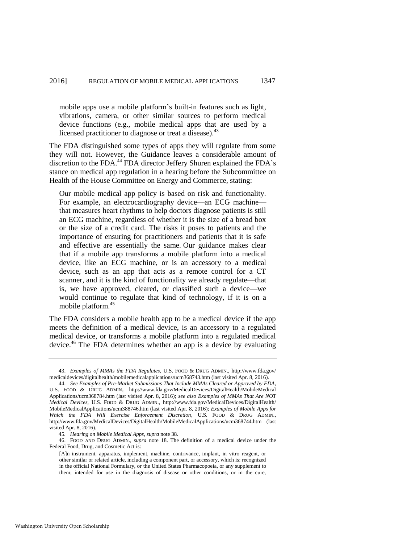mobile apps use a mobile platform's built-in features such as light, vibrations, camera, or other similar sources to perform medical device functions (e.g., mobile medical apps that are used by a licensed practitioner to diagnose or treat a disease).<sup>43</sup>

The FDA distinguished some types of apps they will regulate from some they will not. However, the Guidance leaves a considerable amount of discretion to the FDA.<sup>44</sup> FDA director Jeffery Shuren explained the FDA's stance on medical app regulation in a hearing before the Subcommittee on Health of the House Committee on Energy and Commerce, stating:

<span id="page-7-0"></span>Our mobile medical app policy is based on risk and functionality. For example, an electrocardiography device—an ECG machine that measures heart rhythms to help doctors diagnose patients is still an ECG machine, regardless of whether it is the size of a bread box or the size of a credit card. The risks it poses to patients and the importance of ensuring for practitioners and patients that it is safe and effective are essentially the same. Our guidance makes clear that if a mobile app transforms a mobile platform into a medical device, like an ECG machine, or is an accessory to a medical device, such as an app that acts as a remote control for a CT scanner, and it is the kind of functionality we already regulate—that is, we have approved, cleared, or classified such a device—we would continue to regulate that kind of technology, if it is on a mobile platform.<sup>45</sup>

The FDA considers a mobile health app to be a medical device if the app meets the definition of a medical device, is an accessory to a regulated medical device, or transforms a mobile platform into a regulated medical device.<sup>46</sup> The FDA determines whether an app is a device by evaluating

46. FOOD AND DRUG ADMIN., *supra* note [18.](#page-3-0) The definition of a medical device under the Federal Food, Drug, and Cosmetic Act is:

<sup>43.</sup> *Examples of MMAs the FDA Regulates*, U.S. FOOD & DRUG ADMIN., http://www.fda.gov/ medicaldevices/digitalhealth/mobilemedicalapplications/ucm368743.htm (last visited Apr. 8, 2016).

<sup>44.</sup> *See Examples of Pre-Market Submissions That Include MMAs Cleared or Approved by FDA*, U.S. FOOD & DRUG ADMIN., http://www.fda.gov/MedicalDevices/DigitalHealth/MobileMedical Applications/ucm368784.htm (last visited Apr. 8, 2016); *see also Examples of MMAs That Are NOT Medical Devices*, U.S. FOOD & DRUG ADMIN., http://www.fda.gov/MedicalDevices/DigitalHealth/ MobileMedicalApplications/ucm388746.htm (last visited Apr. 8, 2016); *Examples of Mobile Apps for Which the FDA Will Exercise Enforcement Discretion*, U.S. FOOD & DRUG ADMIN., http://www.fda.gov/MedicalDevices/DigitalHealth/MobileMedicalApplications/ucm368744.htm (last visited Apr. 8, 2016).

<sup>45</sup>*. Hearing on Mobile Medical Apps*, *supra* note [38.](#page-6-0) 

<sup>[</sup>A]n instrument, apparatus, implement, machine, contrivance, implant, in vitro reagent, or other similar or related article, including a component part, or accessory, which is: recognized in the official National Formulary, or the United States Pharmacopoeia, or any supplement to them; intended for use in the diagnosis of disease or other conditions, or in the cure,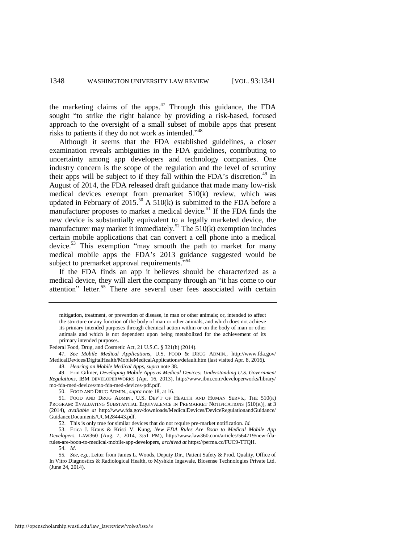the marketing claims of the apps. $47$  Through this guidance, the FDA sought "to strike the right balance by providing a risk-based, focused approach to the oversight of a small subset of mobile apps that present risks to patients if they do not work as intended."<sup>48</sup>

Although it seems that the FDA established guidelines, a closer examination reveals ambiguities in the FDA guidelines, contributing to uncertainty among app developers and technology companies. One industry concern is the scope of the regulation and the level of scrutiny their apps will be subject to if they fall within the FDA's discretion.<sup>49</sup> In August of 2014, the FDA released draft guidance that made many low-risk medical devices exempt from premarket 510(k) review, which was updated in February of  $2015^{50}$  A  $510(k)$  is submitted to the FDA before a manufacturer proposes to market a medical device.<sup>51</sup> If the FDA finds the new device is substantially equivalent to a legally marketed device, the manufacturer may market it immediately.<sup>52</sup> The  $510(k)$  exemption includes certain mobile applications that can convert a cell phone into a medical device.<sup>53</sup> This exemption "may smooth the path to market for many medical mobile apps the FDA's 2013 guidance suggested would be subject to premarket approval requirements."<sup>54</sup>

If the FDA finds an app it believes should be characterized as a medical device, they will alert the company through an "it has come to our attention" letter.<sup>55</sup> There are several user fees associated with certain

49. Erin Gilmer, *Developing Mobile Apps as Medical Devices: Understanding U.S. Government Regulations*, IBM DEVELOPERWORKS (Apr. 16, 2013), http://www.ibm.com/developerworks/library/ mo-fda-med-devices/mo-fda-med-devices-pdf.pdf.

50. FOOD AND DRUG ADMIN., *supra* not[e 18,](#page-3-0) at 16.

51. FOOD AND DRUG ADMIN., U.S. DEP'T OF HEALTH AND HUMAN SERVS., THE 510(K) PROGRAM: EVALUATING SUBSTANTIAL EQUIVALENCE IN PREMARKET NOTIFICATIONS [510(K)], at 3 (2014), *available at* http://www.fda.gov/downloads/MedicalDevices/DeviceRegulationandGuidance/ GuidanceDocuments/UCM284443.pdf.

52. This is only true for similar devices that do not require pre-market notification. *Id.*

53. Erica J. Kraus & Kristi V. Kung, *New FDA Rules Are Boon to Medical Mobile App Developers*, LAW360 (Aug. 7, 2014, 3:51 PM), http://www.law360.com/articles/564719/new-fdarules-are-boon-to-medical-mobile-app-developers, *archived at* https://perma.cc/FUC9-TTQH. 54. *Id*.

55*. See, e.g.*, Letter from James L. Woods, Deputy Dir., Patient Safety & Prod. Quality, Office of In Vitro Diagnostics & Radiological Health, to Myshkin Ingawale, Biosense Technologies Private Ltd. (June 24, 2014).

<span id="page-8-0"></span>mitigation, treatment, or prevention of disease, in man or other animals; or, intended to affect the structure or any function of the body of man or other animals, and which does not achieve its primary intended purposes through chemical action within or on the body of man or other animals and which is not dependent upon being metabolized for the achievement of its primary intended purposes.

Federal Food, Drug, and Cosmetic Act, 21 U.S.C. § 321(h) (2014).

<sup>47.</sup> *See Mobile Medical Applications*, U.S. FOOD & DRUG ADMIN., http://www.fda.gov/ MedicalDevices/DigitalHealth/MobileMedicalApplications/default.htm (last visited Apr. 8, 2016).

<sup>48.</sup> *Hearing on Mobile Medical Apps*, *supra* note [38.](#page-6-0)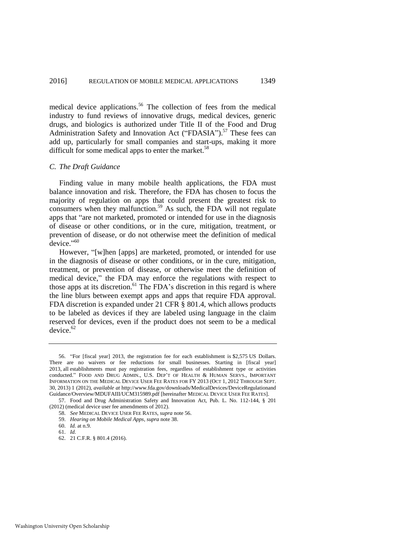<span id="page-9-0"></span>medical device applications.<sup>56</sup> The collection of fees from the medical industry to fund reviews of innovative drugs, medical devices, generic drugs, and biologics is authorized under Title II of the Food and Drug Administration Safety and Innovation Act ("FDASIA").<sup>57</sup> These fees can add up, particularly for small companies and start-ups, making it more difficult for some medical apps to enter the market.<sup>58</sup>

#### *C. The Draft Guidance*

Finding value in many mobile health applications, the FDA must balance innovation and risk. Therefore, the FDA has chosen to focus the majority of regulation on apps that could present the greatest risk to consumers when they malfunction.<sup>59</sup> As such, the FDA will not regulate apps that "are not marketed, promoted or intended for use in the diagnosis of disease or other conditions, or in the cure, mitigation, treatment, or prevention of disease, or do not otherwise meet the definition of medical device."<sup>60</sup>

However, "[w]hen [apps] are marketed, promoted, or intended for use in the diagnosis of disease or other conditions, or in the cure, mitigation, treatment, or prevention of disease, or otherwise meet the definition of medical device," the FDA may enforce the regulations with respect to those apps at its discretion.<sup>61</sup> The FDA's discretion in this regard is where the line blurs between exempt apps and apps that require FDA approval. FDA discretion is expanded under 21 CFR § 801.4, which allows products to be labeled as devices if they are labeled using language in the claim reserved for devices, even if the product does not seem to be a medical  $device<sup>62</sup>$ 

<sup>56. &</sup>quot;For [fiscal year] 2013, the registration fee for each establishment is \$2,575 US Dollars. There are no waivers or fee reductions for small businesses. Starting in [fiscal year] 2013, all establishments must pay registration fees, regardless of establishment type or activities conducted." FOOD AND DRUG ADMIN., U.S. DEP'T OF HEALTH & HUMAN SERVS., IMPORTANT INFORMATION ON THE MEDICAL DEVICE USER FEE RATES FOR FY 2013 (OCT 1, 2012 THROUGH SEPT. 30, 2013) 1 (2012), *available at* http://www.fda.gov/downloads/MedicalDevices/DeviceRegulationand Guidance/Overview/MDUFAIII/UCM315989.pdf [hereinafter MEDICAL DEVICE USER FEE RATES].

<sup>57.</sup> Food and Drug Administration Safety and Innovation Act, Pub. L. No. 112-144, § 201 (2012) (medical device user fee amendments of 2012).

<sup>58.</sup> *See* MEDICAL DEVICE USER FEE RATES, *supra* not[e 56.](#page-9-0) 

<sup>59.</sup> *Hearing on Mobile Medical Apps*, *supra* note [38.](#page-6-0) 

<sup>60.</sup> *Id.* at n.9.

<sup>61.</sup> *Id.*

<sup>62. 21</sup> C.F.R. § 801.4 (2016).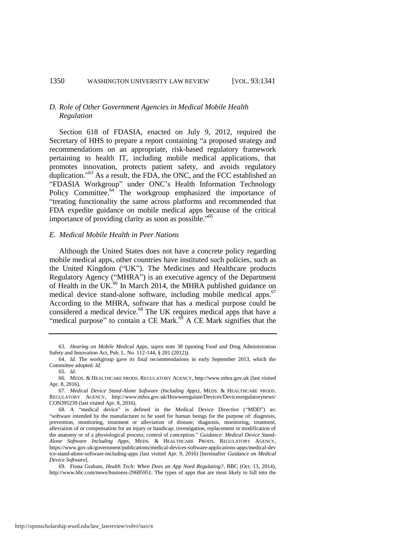#### *D. Role of Other Government Agencies in Medical Mobile Health Regulation*

Section 618 of FDASIA, enacted on July 9, 2012, required the Secretary of HHS to prepare a report containing "a proposed strategy and recommendations on an appropriate, risk-based regulatory framework pertaining to health IT, including mobile medical applications, that promotes innovation, protects patient safety, and avoids regulatory duplication."<sup>63</sup> As a result, the FDA, the ONC, and the FCC established an "FDASIA Workgroup" under ONC's Health Information Technology Policy Committee.<sup>64</sup> The workgroup emphasized the importance of "treating functionality the same across platforms and recommended that FDA expedite guidance on mobile medical apps because of the critical importance of providing clarity as soon as possible."<sup>65</sup>

#### *E. Medical Mobile Health in Peer Nations*

Although the United States does not have a concrete policy regarding mobile medical apps, other countries have instituted such policies, such as the United Kingdom ("UK"). The Medicines and Healthcare products Regulatory Agency ("MHRA") is an executive agency of the Department of Health in the UK.<sup>66</sup> In March 2014, the MHRA published guidance on medical device stand-alone software, including mobile medical apps.<sup>67</sup> According to the MHRA, software that has a medical purpose could be considered a medical device.<sup>68</sup> The UK requires medical apps that have a "medical purpose" to contain a CE Mark.<sup>69</sup> A CE Mark signifies that the

<span id="page-10-0"></span><sup>63.</sup> *Hearing on Mobile Medical Apps*, *supra* note [38](#page-6-0) (quoting Food and Drug Administration Safety and Innovation Act, Pub. L. No. 112-144, § 201 (2012)).

<sup>64.</sup> *Id.* The workgroup gave its final recommendations in early September 2013, which the Committee adopted. *Id.*

<sup>65.</sup> *Id.* 

<sup>66.</sup> MEDS. & HEALTHCARE PRODS. REGULATORY AGENCY, http://www.mhra.gov.uk (last visited Apr. 8, 2016).

<sup>67</sup>*. Medical Device Stand-Alone Software (Including Apps)*, MEDS. & HEALTHCARE PRODS. REGULATORY AGENCY, http://www.mhra.gov.uk/Howweregulate/Devices/Devicesregulatorynews/ CON395239 (last visited Apr. 8, 2016).

<sup>68.</sup> A "medical device" is defined in the Medical Device Directive ("MDD") as: "software intended by the manufacturer to be used for human beings for the purpose of: diagnosis, prevention, monitoring, treatment or alleviation of disease; diagnosis, monitoring, treatment, alleviation of or compensation for an injury or handicap; investigation, replacement or modification of the anatomy or of a physiological process; control of conception." *Guidance: Medical Device Stand-Alone Software Including Apps*, MEDS. & HEALTHCARE PRODS. REGULATORY AGENCY, https://www.gov.uk/government/publications/medical-devices-software-applications-apps/medical-dev ice-stand-alone-software-including-apps (last visited Apr. 9, 2016) [hereinafter *Guidance on Medical Device Software*].

<sup>69.</sup> Fiona Graham, *Health Tech: When Does an App Need Regulating?*, BBC (Oct. 13, 2014), http://www.bbc.com/news/business-29605951. The types of apps that are most likely to fall into the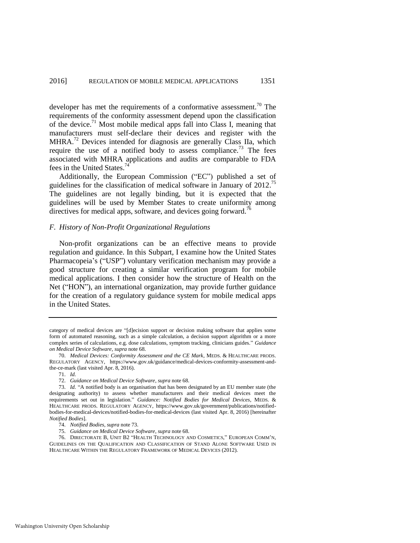developer has met the requirements of a conformative assessment.<sup>70</sup> The requirements of the conformity assessment depend upon the classification of the device.<sup>71</sup> Most mobile medical apps fall into Class I, meaning that manufacturers must self-declare their devices and register with the MHRA.<sup>72</sup> Devices intended for diagnosis are generally Class IIa, which require the use of a notified body to assess compliance.<sup>73</sup> The fees associated with MHRA applications and audits are comparable to FDA fees in the United States.<sup>74</sup>

<span id="page-11-0"></span>Additionally, the European Commission ("EC") published a set of guidelines for the classification of medical software in January of 2012.<sup>75</sup> The guidelines are not legally binding, but it is expected that the guidelines will be used by Member States to create uniformity among directives for medical apps, software, and devices going forward.<sup>76</sup>

#### *F. History of Non-Profit Organizational Regulations*

Non-profit organizations can be an effective means to provide regulation and guidance. In this Subpart, I examine how the United States Pharmacopeia's ("USP") voluntary verification mechanism may provide a good structure for creating a similar verification program for mobile medical applications. I then consider how the structure of Health on the Net ("HON"), an international organization, may provide further guidance for the creation of a regulatory guidance system for mobile medical apps in the United States.

76. DIRECTORATE B, UNIT B2 "HEALTH TECHNOLOGY AND COSMETICS," EUROPEAN COMM'N, GUIDELINES ON THE QUALIFICATION AND CLASSIFICATION OF STAND ALONE SOFTWARE USED IN HEALTHCARE WITHIN THE REGULATORY FRAMEWORK OF MEDICAL DEVICES (2012).

category of medical devices are "[d]ecision support or decision making software that applies some form of automated reasoning, such as a simple calculation, a decision support algorithm or a more complex series of calculations, e.g. dose calculations, symptom tracking, clinicians guides." *Guidance on Medical Device Software*, *supra* note [68.](#page-10-0) 

<sup>70.</sup> *Medical Devices: Conformity Assessment and the CE Mark*, MEDS. & HEALTHCARE PRODS. REGULATORY AGENCY, https://www.gov.uk/guidance/medical-devices-conformity-assessment-andthe-ce-mark (last visited Apr. 8, 2016).

<sup>71.</sup> *Id.*

<sup>72.</sup> *Guidance on Medical Device Software*, *supra* not[e 68.](#page-10-0)

<sup>73.</sup> *Id.* "A notified body is an organisation that has been designated by an EU member state (the designating authority) to assess whether manufacturers and their medical devices meet the requirements set out in legislation." *Guidance: Notified Bodies for Medical Devices*, MEDS. & HEALTHCARE PRODS. REGULATORY AGENCY, https://www.gov.uk/government/publications/notifiedbodies-for-medical-devices/notified-bodies-for-medical-devices (last visited Apr. 8, 2016) [hereinafter *Notified Bodies*].

<sup>74.</sup> *Notified Bodies*, *supra* note [73.](#page-11-0) 

<sup>75.</sup> *Guidance on Medical Device Software*, *supra* not[e 68.](#page-10-0)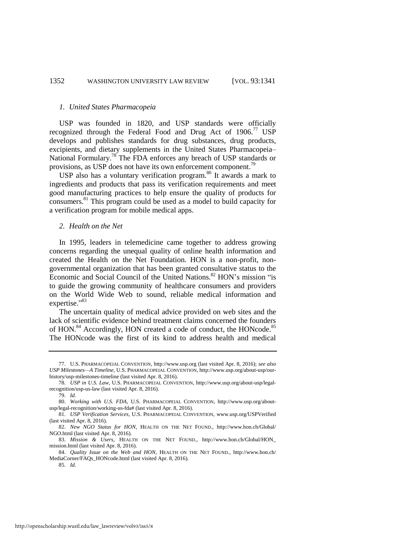#### *1. United States Pharmacopeia*

USP was founded in 1820, and USP standards were officially recognized through the Federal Food and Drug Act of 1906.<sup>77</sup> USP develops and publishes standards for drug substances, drug products, excipients, and dietary supplements in the United States Pharmacopeia– National Formulary.<sup>78</sup> The FDA enforces any breach of USP standards or provisions, as USP does not have its own enforcement component.<sup>79</sup>

USP also has a voluntary verification program.<sup>80</sup> It awards a mark to ingredients and products that pass its verification requirements and meet good manufacturing practices to help ensure the quality of products for consumers.<sup>81</sup> This program could be used as a model to build capacity for a verification program for mobile medical apps.

#### <span id="page-12-0"></span>*2. Health on the Net*

In 1995, leaders in telemedicine came together to address growing concerns regarding the unequal quality of online health information and created the Health on the Net Foundation. HON is a non-profit, nongovernmental organization that has been granted consultative status to the Economic and Social Council of the United Nations.<sup>82</sup> HON's mission "is" to guide the growing community of healthcare consumers and providers on the World Wide Web to sound, reliable medical information and expertise."<sup>83</sup>

<span id="page-12-1"></span>The uncertain quality of medical advice provided on web sites and the lack of scientific evidence behind treatment claims concerned the founders of HON.<sup>84</sup> Accordingly, HON created a code of conduct, the HONcode.<sup>85</sup> The HONcode was the first of its kind to address health and medical

<sup>77.</sup> U.S. PHARMACOPEIAL CONVENTION, http://www.usp.org (last visited Apr. 8, 2016); *see also USP Milestones—A Timeline*, U.S. PHARMACOPEIAL CONVENTION, http://www.usp.org/about-usp/ourhistory/usp-milestones-timeline (last visited Apr. 8, 2016).

<sup>78.</sup> *USP in U.S. Law*, U.S. PHARMACOPEIAL CONVENTION, http://www.usp.org/about-usp/legalrecognition/usp-us-law (last visited Apr. 8, 2016).

<sup>79.</sup> *Id.*

<sup>80.</sup> *Working with U.S. FDA*, U.S. PHARMACOPEIAL CONVENTION, http://www.usp.org/aboutusp/legal-recognition/working-us-fda# (last visited Apr. 8, 2016).

<sup>81.</sup> *USP Verification Services*, U.S. PHARMACOPEIAL CONVENTION, [www.usp.org/USPVerified](http://www.usp.org/USPVerified) (last visited Apr. 8, 2016).

<sup>82.</sup> *New NGO Status for HON*, HEALTH ON THE NET FOUND., http://www.hon.ch/Global/ NGO.html (last visited Apr. 8, 2016).

<sup>83.</sup> *Mission & Users*, HEALTH ON THE NET FOUND., http://www.hon.ch/Global/HON\_ mission.html (last visited Apr. 8, 2016).

<sup>84.</sup> *Quality Issue on the Web and HON*, HEALTH ON THE NET FOUND., http://www.hon.ch/ MediaCorner/FAQs\_HONcode.html (last visited Apr. 8, 2016).

<sup>85.</sup> *Id.*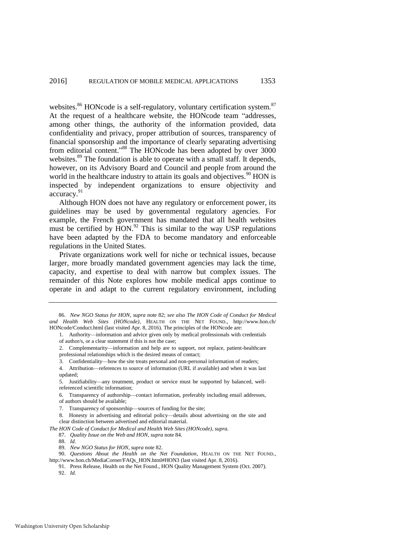websites.<sup>86</sup> HONcode is a self-regulatory, voluntary certification system.<sup>87</sup> At the request of a healthcare website, the HONcode team "addresses, among other things, the authority of the information provided, data confidentiality and privacy, proper attribution of sources, transparency of financial sponsorship and the importance of clearly separating advertising from editorial content."<sup>88</sup> The HONcode has been adopted by over 3000 websites.<sup>89</sup> The foundation is able to operate with a small staff. It depends, however, on its Advisory Board and Council and people from around the world in the healthcare industry to attain its goals and objectives. $90$  HON is inspected by independent organizations to ensure objectivity and accuracy.<sup>91</sup>

Although HON does not have any regulatory or enforcement power, its guidelines may be used by governmental regulatory agencies. For example, the French government has mandated that all health websites must be certified by  $HON$ .<sup>92</sup> This is similar to the way USP regulations have been adapted by the FDA to become mandatory and enforceable regulations in the United States.

Private organizations work well for niche or technical issues, because larger, more broadly mandated government agencies may lack the time, capacity, and expertise to deal with narrow but complex issues. The remainder of this Note explores how mobile medical apps continue to operate in and adapt to the current regulatory environment, including

5. Justifiability—any treatment, product or service must be supported by balanced, wellreferenced scientific information;

6. Transparency of authorship—contact information, preferably including email addresses, of authors should be available;

8. Honesty in advertising and editorial policy—details about advertising on the site and clear distinction between advertised and editorial material.

*The HON Code of Conduct for Medical and Health Web Sites (HONcode)*, *supra.*

88. *Id.*

89. *New NGO Status for HON*, *supra* not[e 82.](#page-12-0)

91. Press Release, Health on the Net Found., HON Quality Management System (Oct. 2007).

92. *Id.* 

<sup>86.</sup> *New NGO Status for HON*, *supra* note [82;](#page-12-0) *see also The HON Code of Conduct for Medical and Health Web Sites (HONcode)*, HEALTH ON THE NET FOUND., http://www.hon.ch/ HONcode/Conduct.html (last visited Apr. 8, 2016). The principles of the HONcode are:

<sup>1.</sup> Authority—information and advice given only by medical professionals with credentials of author/s, or a clear statement if this is not the case;

<sup>2.</sup> Complementarity—information and help are to support, not replace, patient-healthcare professional relationships which is the desired means of contact;

<sup>3.</sup> Confidentiality—how the site treats personal and non-personal information of readers;

<sup>4.</sup> Attribution—references to source of information (URL if available) and when it was last updated;

<sup>7.</sup> Transparency of sponsorship—sources of funding for the site;

<sup>87.</sup> *Quality Issue on the Web and HON*, *supra* not[e 84.](#page-12-1) 

<sup>90.</sup> *Questions About the Health on the Net Foundation*, HEALTH ON THE NET FOUND., [http://www.hon.ch/MediaCorner/FAQs\\_HON.html#HON3 \(](http://www.hon.ch/MediaCorner/FAQs_HON.html#HON3)last visited Apr. 8, 2016).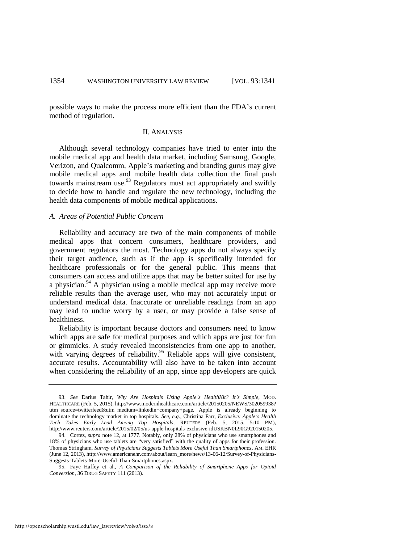possible ways to make the process more efficient than the FDA's current method of regulation.

#### II. ANALYSIS

Although several technology companies have tried to enter into the mobile medical app and health data market, including Samsung, Google, Verizon, and Qualcomm, Apple's marketing and branding gurus may give mobile medical apps and mobile health data collection the final push towards mainstream use.  $93$  Regulators must act appropriately and swiftly to decide how to handle and regulate the new technology, including the health data components of mobile medical applications.

#### *A. Areas of Potential Public Concern*

Reliability and accuracy are two of the main components of mobile medical apps that concern consumers, healthcare providers, and government regulators the most. Technology apps do not always specify their target audience, such as if the app is specifically intended for healthcare professionals or for the general public. This means that consumers can access and utilize apps that may be better suited for use by a physician. $94$  A physician using a mobile medical app may receive more reliable results than the average user, who may not accurately input or understand medical data. Inaccurate or unreliable readings from an app may lead to undue worry by a user, or may provide a false sense of healthiness.

Reliability is important because doctors and consumers need to know which apps are safe for medical purposes and which apps are just for fun or gimmicks. A study revealed inconsistencies from one app to another, with varying degrees of reliability.<sup>95</sup> Reliable apps will give consistent, accurate results. Accountability will also have to be taken into account when considering the reliability of an app, since app developers are quick

<sup>93.</sup> *See* Darius Tahir, *Why Are Hospitals Using Apple's HealthKit? It's Simple*, MOD. HEALTHCARE (Feb. 5, 2015), http://www.modernhealthcare.com/article/20150205/NEWS/302059938? utm\_source=twitterfeed&utm\_medium=linkedin+company+page. Apple is already beginning to dominate the technology market in top hospitals. *See, e.g.*, Christina Farr, *Exclusive: Apple's Health Tech Takes Early Lead Among Top Hospitals*, REUTERS (Feb. 5, 2015, 5:10 PM), http://www.reuters.com/article/2015/02/05/us-apple-hospitals-exclusive-idUSKBN0L90G920150205.

<sup>94.</sup> Cortez, *supra* not[e 12,](#page-2-1) at 1777. Notably, only 28% of physicians who use smartphones and 18% of physicians who use tablets are "very satisfied" with the quality of apps for their profession. Thomas Stringham, *Survey of Physicians Suggests Tablets More Useful Than Smartphones*, AM. EHR (June 12, 2013), http://www.americanehr.com/about/learn\_more/news/13-06-12/Survey-of-Physicians-Suggests-Tablets-More-Useful-Than-Smartphones.aspx.

<sup>95.</sup> Faye Haffey et al., *A Comparison of the Reliability of Smartphone Apps for Opioid Conversion*, 36 DRUG SAFETY 111 (2013).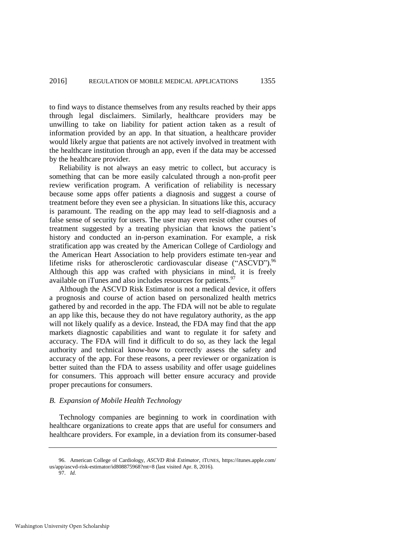to find ways to distance themselves from any results reached by their apps through legal disclaimers. Similarly, healthcare providers may be unwilling to take on liability for patient action taken as a result of information provided by an app. In that situation, a healthcare provider would likely argue that patients are not actively involved in treatment with the healthcare institution through an app, even if the data may be accessed by the healthcare provider.

Reliability is not always an easy metric to collect, but accuracy is something that can be more easily calculated through a non-profit peer review verification program. A verification of reliability is necessary because some apps offer patients a diagnosis and suggest a course of treatment before they even see a physician. In situations like this, accuracy is paramount. The reading on the app may lead to self-diagnosis and a false sense of security for users. The user may even resist other courses of treatment suggested by a treating physician that knows the patient's history and conducted an in-person examination. For example, a risk stratification app was created by the American College of Cardiology and the American Heart Association to help providers estimate ten-year and lifetime risks for atherosclerotic cardiovascular disease  $($ "ASCVD" $)$ .<sup>96</sup> Although this app was crafted with physicians in mind, it is freely available on iTunes and also includes resources for patients.<sup>97</sup>

Although the ASCVD Risk Estimator is not a medical device, it offers a prognosis and course of action based on personalized health metrics gathered by and recorded in the app. The FDA will not be able to regulate an app like this, because they do not have regulatory authority, as the app will not likely qualify as a device. Instead, the FDA may find that the app markets diagnostic capabilities and want to regulate it for safety and accuracy. The FDA will find it difficult to do so, as they lack the legal authority and technical know-how to correctly assess the safety and accuracy of the app. For these reasons, a peer reviewer or organization is better suited than the FDA to assess usability and offer usage guidelines for consumers. This approach will better ensure accuracy and provide proper precautions for consumers.

#### *B. Expansion of Mobile Health Technology*

Technology companies are beginning to work in coordination with healthcare organizations to create apps that are useful for consumers and healthcare providers. For example, in a deviation from its consumer-based

97. *Id.*

<sup>96.</sup> American College of Cardiology, *ASCVD Risk Estimator*, ITUNES, https://itunes.apple.com/ us/app/ascvd-risk-estimator/id808875968?mt=8 (last visited Apr. 8, 2016).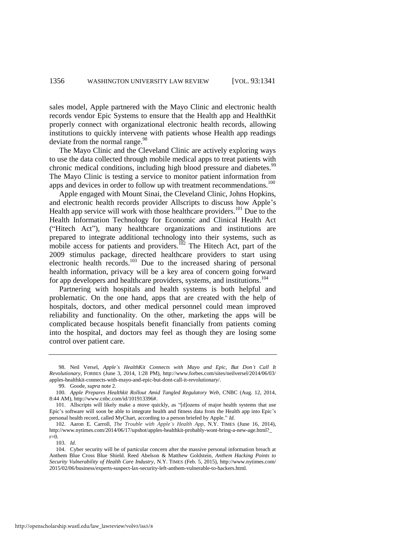sales model, Apple partnered with the Mayo Clinic and electronic health records vendor Epic Systems to ensure that the Health app and HealthKit properly connect with organizational electronic health records, allowing institutions to quickly intervene with patients whose Health app readings deviate from the normal range.<sup>98</sup>

The Mayo Clinic and the Cleveland Clinic are actively exploring ways to use the data collected through mobile medical apps to treat patients with chronic medical conditions, including high blood pressure and diabetes.<sup>99</sup> The Mayo Clinic is testing a service to monitor patient information from apps and devices in order to follow up with treatment recommendations.<sup>100</sup>

<span id="page-16-0"></span>Apple engaged with Mount Sinai, the Cleveland Clinic, Johns Hopkins, and electronic health records provider Allscripts to discuss how Apple's Health app service will work with those healthcare providers.<sup>101</sup> Due to the Health Information Technology for Economic and Clinical Health Act ("Hitech Act"), many healthcare organizations and institutions are prepared to integrate additional technology into their systems, such as mobile access for patients and providers.<sup>102</sup> The Hitech Act, part of the 2009 stimulus package, directed healthcare providers to start using electronic health records.<sup>103</sup> Due to the increased sharing of personal health information, privacy will be a key area of concern going forward for app developers and healthcare providers, systems, and institutions.<sup>104</sup>

Partnering with hospitals and health systems is both helpful and problematic. On the one hand, apps that are created with the help of hospitals, doctors, and other medical personnel could mean improved reliability and functionality. On the other, marketing the apps will be complicated because hospitals benefit financially from patients coming into the hospital, and doctors may feel as though they are losing some control over patient care.

103. *Id*.

<sup>98.</sup> Neil Versel, *Apple's HealthKit Connects with Mayo and Epic, But Don't Call It Revolutionary*, FORBES (June 3, 2014, 1:28 PM), http://www.forbes.com/sites/neilversel/2014/06/03/ apples-healthkit-connects-with-mayo-and-epic-but-dont-call-it-revolutionary/.

<sup>99.</sup> Goode, *supra* not[e 2.](#page-1-2) 

<sup>100.</sup> *Apple Prepares Healthkit Rollout Amid Tangled Regulatory Web*, CNBC (Aug. 12, 2014, 8:44 AM), http://www.cnbc.com/id/101913396#.

<sup>101.</sup> Allscripts will likely make a move quickly, as "[d]ozens of major health systems that use Epic's software will soon be able to integrate health and fitness data from the Health app into Epic's personal health record, called MyChart, according to a person briefed by Apple." *Id.*

<sup>102.</sup> Aaron E. Carroll, *The Trouble with Apple's Health App*, N.Y. TIMES (June 16, 2014), http://www.nytimes.com/2014/06/17/upshot/apples-healthkit-probably-wont-bring-a-new-age.html?\_  $r=0$ .

<sup>104.</sup> Cyber security will be of particular concern after the massive personal information breach at Anthem Blue Cross Blue Shield. Reed Abelson & Matthew Goldstein, *Anthem Hacking Points to Security Vulnerability of Health Care Industry*, N.Y. TIMES (Feb. 5, 2015), http://www.nytimes.com/ 2015/02/06/business/experts-suspect-lax-security-left-anthem-vulnerable-to-hackers.html.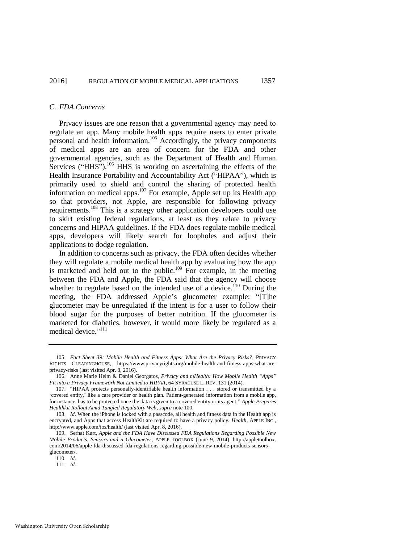#### *C. FDA Concerns*

Privacy issues are one reason that a governmental agency may need to regulate an app. Many mobile health apps require users to enter private personal and health information.<sup>105</sup> Accordingly, the privacy components of medical apps are an area of concern for the FDA and other governmental agencies, such as the Department of Health and Human Services ("HHS").<sup>106</sup> HHS is working on ascertaining the effects of the Health Insurance Portability and Accountability Act ("HIPAA"), which is primarily used to shield and control the sharing of protected health information on medical apps.<sup>107</sup> For example, Apple set up its Health app so that providers, not Apple, are responsible for following privacy requirements.<sup>108</sup> This is a strategy other application developers could use to skirt existing federal regulations, at least as they relate to privacy concerns and HIPAA guidelines. If the FDA does regulate mobile medical apps, developers will likely search for loopholes and adjust their applications to dodge regulation.

<span id="page-17-0"></span>In addition to concerns such as privacy, the FDA often decides whether they will regulate a mobile medical health app by evaluating how the app is marketed and held out to the public.<sup>109</sup> For example, in the meeting between the FDA and Apple, the FDA said that the agency will choose whether to regulate based on the intended use of a device.<sup>110</sup> During the meeting, the FDA addressed Apple's glucometer example: "[T]he glucometer may be unregulated if the intent is for a user to follow their blood sugar for the purposes of better nutrition. If the glucometer is marketed for diabetics, however, it would more likely be regulated as a medical device."<sup>111</sup>

<sup>105.</sup> *Fact Sheet 39: Mobile Health and Fitness Apps: What Are the Privacy Risks?*, PRIVACY RIGHTS CLEARINGHOUSE, [https://www.privacyrights.org/mobile-health-and-fitness-apps-what-are](https://www.privacyrights.org/mobile-health-and-fitness-apps-what-are-privacy-risks)[privacy-risks \(](https://www.privacyrights.org/mobile-health-and-fitness-apps-what-are-privacy-risks)last visited Apr. 8, 2016).

<sup>106.</sup> Anne Marie Helm & Daniel Georgatos, *Privacy and mHealth: How Mobile Health "Apps" Fit into a Privacy Framework Not Limited to HIPAA*, 64 SYRACUSE L. REV. 131 (2014).

<sup>107. &</sup>quot;HIPAA protects personally-identifiable health information . . . stored or transmitted by a 'covered entity,' like a care provider or health plan. Patient-generated information from a mobile app, for instance, has to be protected once the data is given to a covered entity or its agent." *Apple Prepares Healthkit Rollout Amid Tangled Regulatory Web*, *supra* not[e 100.](#page-16-0)

<sup>108.</sup> *Id*. When the iPhone is locked with a passcode, all health and fitness data in the Health app is encrypted, and Apps that access HealthKit are required to have a privacy policy. *Health*, APPLE INC., http://www.apple.com/ios/health/ (last visited Apr. 8, 2016).

<sup>109.</sup> Serhat Kurt, *Apple and the FDA Have Discussed FDA Regulations Regarding Possible New Mobile Products, Sensors and a Glucometer*, APPLE TOOLBOX (June 9, 2014), http://appletoolbox. com/2014/06/apple-fda-discussed-fda-regulations-regarding-possible-new-mobile-products-sensorsglucometer/.

<sup>110.</sup> *Id.*

<sup>111.</sup> *Id.*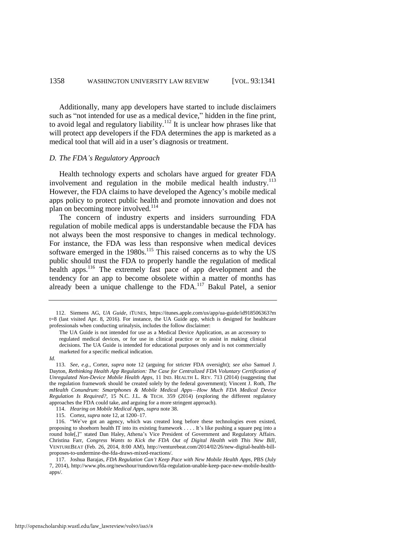Additionally, many app developers have started to include disclaimers such as "not intended for use as a medical device," hidden in the fine print, to avoid legal and regulatory liability. $112$  It is unclear how phrases like that will protect app developers if the FDA determines the app is marketed as a medical tool that will aid in a user's diagnosis or treatment.

#### *D. The FDA's Regulatory Approach*

<span id="page-18-1"></span>Health technology experts and scholars have argued for greater FDA involvement and regulation in the mobile medical health industry.<sup>113</sup> However, the FDA claims to have developed the Agency's mobile medical apps policy to protect public health and promote innovation and does not plan on becoming more involved.<sup>114</sup>

The concern of industry experts and insiders surrounding FDA regulation of mobile medical apps is understandable because the FDA has not always been the most responsive to changes in medical technology. For instance, the FDA was less than responsive when medical devices software emerged in the 1980s.<sup>115</sup> This raised concerns as to why the US public should trust the FDA to properly handle the regulation of medical health apps.<sup>116</sup> The extremely fast pace of app development and the tendency for an app to become obsolete within a matter of months has already been a unique challenge to the FDA.<sup>117</sup> Bakul Patel, a senior

<span id="page-18-0"></span><sup>112.</sup> Siemens AG, *UA Guide*, ITUNES, https://itunes.apple.com/us/app/ua-guide/id918506363?m t=8 (last visited Apr. 8, 2016). For instance, the UA Guide app, which is designed for healthcare professionals when conducting urinalysis, includes the follow disclaimer:

The UA Guide is not intended for use as a Medical Device Application, as an accessory to regulated medical devices, or for use in clinical practice or to assist in making clinical decisions. The UA Guide is intended for educational purposes only and is not commercially marketed for a specific medical indication.

*Id.*

<sup>113.</sup> *See, e.g.*, Cortez, *supra* note [12](#page-2-1) (arguing for stricter FDA oversight); *see also* Samuel J. Dayton, *Rethinking Health App Regulation: The Case for Centralized FDA Voluntary Certification of Unregulated Non-Device Mobile Health Apps*, 11 IND. HEALTH L. REV. 713 (2014) (suggesting that the regulation framework should be created solely by the federal government); Vincent J. Roth, *The mHealth Conundrum: Smartphones & Mobile Medical Apps—How Much FDA Medical Device Regulation Is Required?*, 15 N.C. J.L. & TECH. 359 (2014) (exploring the different regulatory approaches the FDA could take, and arguing for a more stringent approach).

<sup>114.</sup> *Hearing on Mobile Medical Apps*, *supra* note [38.](#page-6-0) 

<sup>115.</sup> Cortez, *supra* not[e 12,](#page-2-1) at 1200–17.

<sup>116. &</sup>quot;We've got an agency, which was created long before these technologies even existed, proposing to shoehorn health IT into its existing framework . . . . It's like pushing a square peg into a round hole[,]" stated Dan Haley, Athena's Vice President of Government and Regulatory Affairs. Christina Farr, *Congress Wants to Kick the FDA Out of Digital Health with This New Bill*, VENTUREBEAT (Feb. 26, 2014, 8:00 AM), http://venturebeat.com/2014/02/26/new-digital-health-billproposes-to-undermine-the-fda-draws-mixed-reactions/.

<sup>117.</sup> Joshua Barajas, *FDA Regulation Can't Keep Pace with New Mobile Health Apps*, PBS (July 7, 2014), http://www.pbs.org/newshour/rundown/fda-regulation-unable-keep-pace-new-mobile-healthapps/.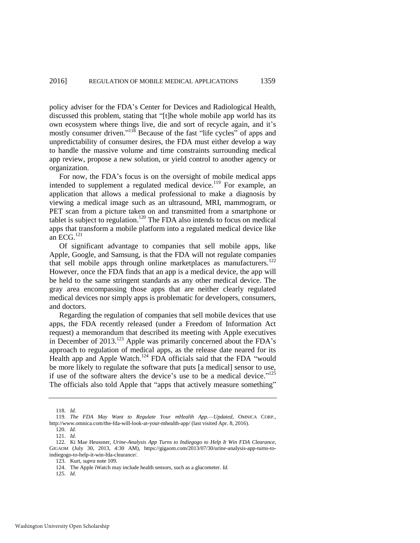policy adviser for the FDA's Center for Devices and Radiological Health, discussed this problem, stating that "[t]he whole mobile app world has its own ecosystem where things live, die and sort of recycle again, and it's mostly consumer driven."<sup>118</sup> Because of the fast "life cycles" of apps and unpredictability of consumer desires, the FDA must either develop a way to handle the massive volume and time constraints surrounding medical app review, propose a new solution, or yield control to another agency or organization.

For now, the FDA's focus is on the oversight of mobile medical apps intended to supplement a regulated medical device.<sup>119</sup> For example, an application that allows a medical professional to make a diagnosis by viewing a medical image such as an ultrasound, MRI, mammogram, or PET scan from a picture taken on and transmitted from a smartphone or tablet is subject to regulation.<sup>120</sup> The FDA also intends to focus on medical apps that transform a mobile platform into a regulated medical device like an ECG. $^{121}$ 

<span id="page-19-0"></span>Of significant advantage to companies that sell mobile apps, like Apple, Google, and Samsung, is that the FDA will not regulate companies that sell mobile apps through online marketplaces as manufacturers.<sup>122</sup> However, once the FDA finds that an app is a medical device, the app will be held to the same stringent standards as any other medical device. The gray area encompassing those apps that are neither clearly regulated medical devices nor simply apps is problematic for developers, consumers, and doctors.

Regarding the regulation of companies that sell mobile devices that use apps, the FDA recently released (under a Freedom of Information Act request) a memorandum that described its meeting with Apple executives in December of 2013.<sup>123</sup> Apple was primarily concerned about the FDA's approach to regulation of medical apps, as the release date neared for its Health app and Apple Watch.<sup>124</sup> FDA officials said that the FDA "would" be more likely to regulate the software that puts [a medical] sensor to use, if use of the software alters the device's use to be a medical device."<sup>125</sup> The officials also told Apple that "apps that actively measure something"

125. *Id.*

<sup>118.</sup> *Id.*

<sup>119.</sup> *The FDA May Want to Regulate Your mHealth App.—Updated*, OMNICA CORP., [http://www.omnica.com/the-fda-will-look-at-your-mhealth-app/ \(](http://www.omnica.com/the-fda-will-look-at-your-mhealth-app/)last visited Apr. 8, 2016).

<sup>120.</sup> *Id.* 121. *Id.*

<sup>122</sup>*.* Ki Mae Heussner, *Urine-Analysis App Turns to Indiegogo to Help It Win FDA Clearance*, GIGAOM (July 30, 2013, 4:30 AM), https://gigaom.com/2013/07/30/urine-analysis-app-turns-toindiegogo-to-help-it-win-fda-clearance/.

<sup>123.</sup> Kurt, *supra* not[e 109.](#page-17-0) 

<sup>124.</sup> The Apple iWatch may include health sensors, such as a glucometer. *Id.*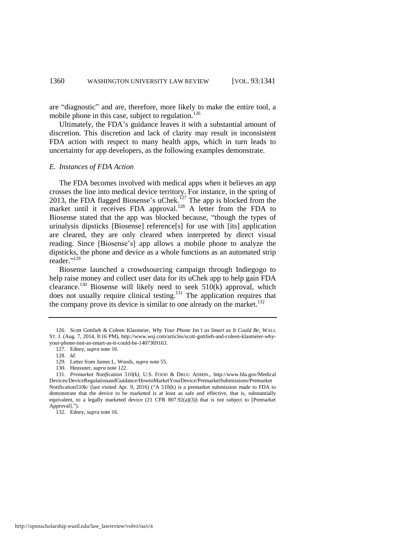<span id="page-20-0"></span>are "diagnostic" and are, therefore, more likely to make the entire tool, a mobile phone in this case, subject to regulation. $126$ 

Ultimately, the FDA's guidance leaves it with a substantial amount of discretion. This discretion and lack of clarity may result in inconsistent FDA action with respect to many health apps, which in turn leads to uncertainty for app developers, as the following examples demonstrate.

#### *E. Instances of FDA Action*

The FDA becomes involved with medical apps when it believes an app crosses the line into medical device territory. For instance, in the spring of 2013, the FDA flagged Biosense's uChek.<sup>127</sup> The app is blocked from the market until it receives FDA approval.<sup>128</sup> A letter from the FDA to Biosense stated that the app was blocked because, "though the types of urinalysis dipsticks [Biosense] reference[s] for use with [its] application are cleared, they are only cleared when interpreted by direct visual reading. Since [Biosense's] app allows a mobile phone to analyze the dipsticks, the phone and device as a whole functions as an automated strip reader."<sup>129</sup>

Biosense launched a crowdsourcing campaign through Indiegogo to help raise money and collect user data for its uChek app to help gain FDA clearance.<sup>130</sup> Biosense will likely need to seek  $510(k)$  approval, which does not usually require clinical testing.<sup>131</sup> The application requires that the company prove its device is similar to one already on the market.<sup>132</sup>

<sup>126.</sup> Scott Gottlieb & Coleen Klasmeier, *Why Your Phone Isn't as Smart as It Could Be*, WALL ST. J. (Aug. 7, 2014, 8:16 PM), http://www.wsj.com/articles/scott-gottlieb-and-coleen-klasmeier-whyyour-phone-isnt-as-smart-as-it-could-be-1407369163.

<sup>127.</sup> Edney, *supra* not[e 16.](#page-2-2) 

<sup>128.</sup> *Id.*

<sup>129.</sup> Letter from James L. Woods, *supra* not[e 55.](#page-8-0)

<sup>130.</sup> Heussner, *supra* not[e 122.](#page-19-0)

<sup>131.</sup> *Premarket Notification 510(k)*, U.S. FOOD & DRUG ADMIN., http://www.fda.gov/Medical Devices/DeviceRegulationandGuidance/HowtoMarketYourDevice/PremarketSubmissions/Premarket Notification510k/ (last visited Apr. 9, 2016) ("A 510(k) is a premarket submission made to FDA to demonstrate that the device to be marketed is at least as safe and effective, that is, substantially equivalent, to a legally marketed device (21 CFR 807.92(a)(3)) that is not subject to [Premarket Approval].").

<sup>132.</sup> Edney, *supra* not[e 16.](#page-2-2)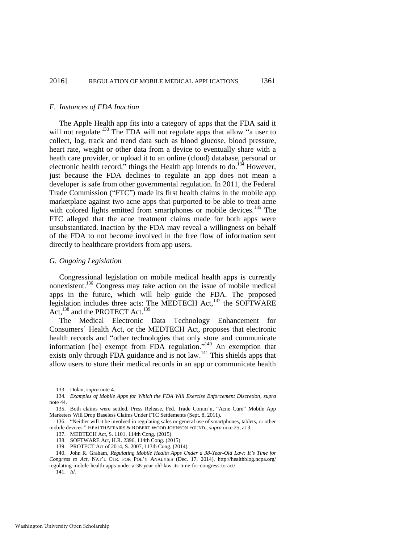#### *F. Instances of FDA Inaction*

The Apple Health app fits into a category of apps that the FDA said it will not regulate.<sup>133</sup> The FDA will not regulate apps that allow "a user to collect, log, track and trend data such as blood glucose, blood pressure, heart rate, weight or other data from a device to eventually share with a heath care provider, or upload it to an online (cloud) database, personal or electronic health record," things the Health app intends to do.<sup>134</sup> However, just because the FDA declines to regulate an app does not mean a developer is safe from other governmental regulation. In 2011, the Federal Trade Commission ("FTC") made its first health claims in the mobile app marketplace against two acne apps that purported to be able to treat acne with colored lights emitted from smartphones or mobile devices.<sup>135</sup> The FTC alleged that the acne treatment claims made for both apps were unsubstantiated. Inaction by the FDA may reveal a willingness on behalf of the FDA to not become involved in the free flow of information sent directly to healthcare providers from app users.

#### *G. Ongoing Legislation*

Congressional legislation on mobile medical health apps is currently nonexistent.<sup>136</sup> Congress may take action on the issue of mobile medical apps in the future, which will help guide the FDA. The proposed legislation includes three acts: The MEDTECH Act,<sup>137</sup> the SOFTWARE Act,<sup>138</sup> and the PROTECT Act.<sup>139</sup>

The Medical Electronic Data Technology Enhancement for Consumers' Health Act, or the MEDTECH Act, proposes that electronic health records and "other technologies that only store and communicate information [be] exempt from FDA regulation."<sup>140</sup> An exemption that exists only through FDA guidance and is not law.<sup>141</sup> This shields apps that allow users to store their medical records in an app or communicate health

<sup>133.</sup> Dolan, *supra* note [4.](#page-1-1) 

<sup>134</sup>*. Examples of Mobile Apps for Which the FDA Will Exercise Enforcement Discretion*, *supra*  note [44.](#page-7-0) 

<sup>135.</sup> Both claims were settled. Press Release, Fed. Trade Comm'n, "Acne Cure" Mobile App Marketers Will Drop Baseless Claims Under FTC Settlements (Sept. 8, 2011).

<sup>136. &</sup>quot;Neither will it be involved in regulating sales or general use of smartphones, tablets, or other mobile devices." HEALTHAFFAIRS & ROBERT WOOD JOHNSON FOUND., *supra* not[e 25,](#page-4-0) at 3.

<sup>137.</sup> MEDTECH Act, S. 1101, 114th Cong. (2015).

<sup>138.</sup> SOFTWARE Act, H.R. 2396, 114th Cong. (2015).

<sup>139.</sup> PROTECT Act of 2014, S. 2007, 113th Cong. (2014).

<sup>140.</sup> John R. Graham, *Regulating Mobile Health Apps Under a 38-Year-Old Law: It's Time for Congress to Act*, NAT'L CTR. FOR POL'Y ANALYSIS (Dec. 17, 2014), http://healthblog.ncpa.org/

regulating-mobile-health-apps-under-a-38-year-old-law-its-time-for-congress-to-act/.

<sup>141.</sup> *Id.*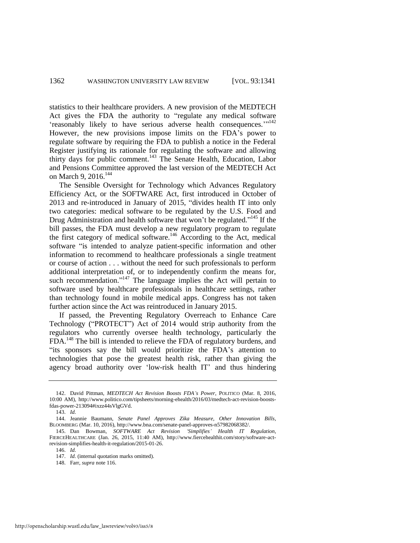statistics to their healthcare providers. A new provision of the MEDTECH Act gives the FDA the authority to "regulate any medical software 'reasonably likely to have serious adverse health consequences.'"<sup>142</sup> However, the new provisions impose limits on the FDA's power to regulate software by requiring the FDA to publish a notice in the Federal Register justifying its rationale for regulating the software and allowing thirty days for public comment.<sup>143</sup> The Senate Health, Education, Labor and Pensions Committee approved the last version of the MEDTECH Act on March 9, 2016.<sup>144</sup>

The Sensible Oversight for Technology which Advances Regulatory Efficiency Act, or the SOFTWARE Act, first introduced in October of 2013 and re-introduced in January of 2015, "divides health IT into only two categories: medical software to be regulated by the U.S. Food and Drug Administration and health software that won't be regulated."<sup>145</sup> If the bill passes, the FDA must develop a new regulatory program to regulate the first category of medical software.<sup>146</sup> According to the Act, medical software "is intended to analyze patient-specific information and other information to recommend to healthcare professionals a single treatment or course of action . . . without the need for such professionals to perform additional interpretation of, or to independently confirm the means for, such recommendation."<sup>147</sup> The language implies the Act will pertain to software used by healthcare professionals in healthcare settings, rather than technology found in mobile medical apps. Congress has not taken further action since the Act was reintroduced in January 2015.

If passed, the Preventing Regulatory Overreach to Enhance Care Technology ("PROTECT") Act of 2014 would strip authority from the regulators who currently oversee health technology, particularly the FDA.<sup>148</sup> The bill is intended to relieve the FDA of regulatory burdens, and "its sponsors say the bill would prioritize the FDA's attention to technologies that pose the greatest health risk, rather than giving the agency broad authority over 'low-risk health IT' and thus hindering

<sup>142.</sup> David Pittman, *MEDTECH Act Revision Boosts FDA's Power*, POLITICO (Mar. 8, 2016, 10:00 AM), http://www.politico.com/tipsheets/morning-ehealth/2016/03/medtech-act-revision-boostsfdas-power-213094#ixzz44sVlgGVd.

<sup>143.</sup> *Id.*

<sup>144.</sup> Jeannie Baumann, *Senate Panel Approves Zika Measure, Other Innovation Bills*, BLOOMBERG (Mar. 10, 2016), http://www.bna.com/senate-panel-approves-n57982068382/.

<sup>145.</sup> Dan Bowman, *SOFTWARE Act Revision 'Simplifies' Health IT Regulation*, FIERCEHEALTHCARE (Jan. 26, 2015, 11:40 AM), http://www.fiercehealthit.com/story/software-actrevision-simplifies-health-it-regulation/2015-01-26.

<sup>146.</sup> *Id.*

<sup>147.</sup> *Id.* (internal quotation marks omitted).

<sup>148.</sup> Farr, *supra* not[e 116.](#page-18-0)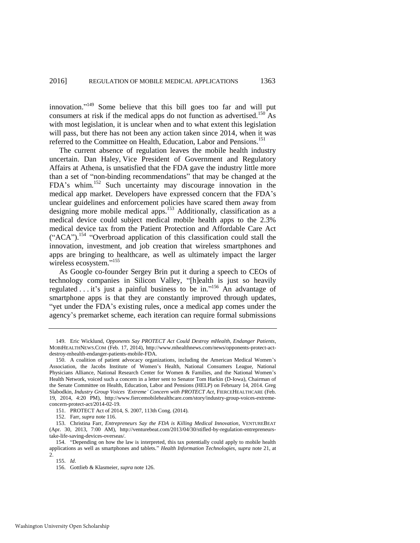innovation." <sup>149</sup> Some believe that this bill goes too far and will put consumers at risk if the medical apps do not function as advertised.<sup>150</sup> As with most legislation, it is unclear when and to what extent this legislation will pass, but there has not been any action taken since 2014, when it was referred to the Committee on Health, Education, Labor and Pensions.<sup>151</sup>

The current absence of regulation leaves the mobile health industry uncertain. Dan Haley, Vice President of Government and Regulatory Affairs at Athena, is unsatisfied that the FDA gave the industry little more than a set of "non-binding recommendations" that may be changed at the FDA's whim.<sup>152</sup> Such uncertainty may discourage innovation in the medical app market. Developers have expressed concern that the FDA's unclear guidelines and enforcement policies have scared them away from designing more mobile medical apps.<sup>153</sup> Additionally, classification as a medical device could subject medical mobile health apps to the 2.3% medical device tax from the Patient Protection and Affordable Care Act ("ACA").<sup>154</sup> "Overbroad application of this classification could stall the innovation, investment, and job creation that wireless smartphones and apps are bringing to healthcare, as well as ultimately impact the larger wireless ecosystem."<sup>155</sup>

As Google co-founder Sergey Brin put it during a speech to CEOs of technology companies in Silicon Valley, "[h]ealth is just so heavily regulated  $\dots$  it's just a painful business to be in."<sup>156</sup> An advantage of smartphone apps is that they are constantly improved through updates, "yet under the FDA's existing rules, once a medical app comes under the agency's premarket scheme, each iteration can require formal submissions

<sup>149.</sup> Eric Wicklund, *Opponents Say PROTECT Act Could Destroy mHealth, Endanger Patients*, MOBIHEALTHNEWS.COM (Feb. 17, 2014), http://www.mhealthnews.com/news/opponents-protect-actdestroy-mhealth-endanger-patients-mobile-FDA.

<sup>150.</sup> A coalition of patient advocacy organizations, including the American Medical Women's Association, the Jacobs Institute of Women's Health, National Consumers League, National Physicians Alliance, National Research Center for Women & Families, and the National Women's Health Network, voiced such a concern in a letter sent to Senator Tom Harkin (D-Iowa), Chairman of the Senate Committee on Health, Education, Labor and Pensions (HELP) on February 14, 2014. Greg Slabodkin, *Industry Group Voices 'Extreme' Concern with PROTECT Act*, FIERCEHEALTHCARE (Feb. 19, 2014, 4:20 PM), http://www.fiercemobilehealthcare.com/story/industry-group-voices-extremeconcern-protect-act/2014-02-19.

<sup>151.</sup> PROTECT Act of 2014, S. 2007, 113th Cong. (2014).

<sup>152.</sup> Farr, *supra* not[e 116.](#page-18-0) 

<sup>153.</sup> Christina Farr, *Entrepreneurs Say the FDA is Killing Medical Innovation*, VENTUREBEAT (Apr. 30, 2013, 7:00 AM), http://venturebeat.com/2013/04/30/stifled-by-regulation-entrepreneurstake-life-saving-devices-overseas/.

<sup>154. &</sup>quot;Depending on how the law is interpreted, this tax potentially could apply to mobile health applications as well as smartphones and tablets." *Health Information Technologies*, *supra* note [21,](#page-3-1) at 2.

<sup>155.</sup> *Id*.

<sup>156.</sup> Gottlieb & Klasmeier, *supra* not[e 126.](#page-20-0)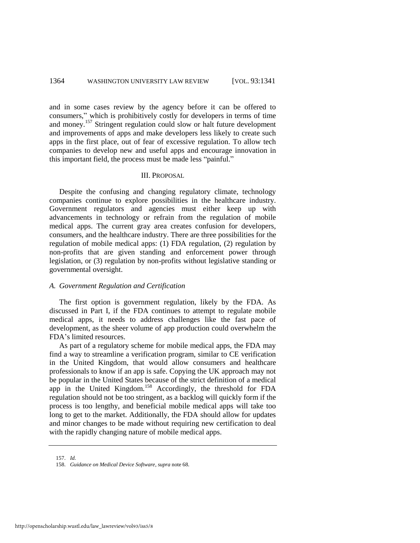#### 1364 WASHINGTON UNIVERSITY LAW REVIEW [VOL. 93:1341]

and in some cases review by the agency before it can be offered to consumers," which is prohibitively costly for developers in terms of time and money.<sup>157</sup> Stringent regulation could slow or halt future development and improvements of apps and make developers less likely to create such apps in the first place, out of fear of excessive regulation. To allow tech companies to develop new and useful apps and encourage innovation in this important field, the process must be made less "painful."

#### III. PROPOSAL

Despite the confusing and changing regulatory climate, technology companies continue to explore possibilities in the healthcare industry. Government regulators and agencies must either keep up with advancements in technology or refrain from the regulation of mobile medical apps. The current gray area creates confusion for developers, consumers, and the healthcare industry. There are three possibilities for the regulation of mobile medical apps: (1) FDA regulation, (2) regulation by non-profits that are given standing and enforcement power through legislation, or (3) regulation by non-profits without legislative standing or governmental oversight.

#### *A. Government Regulation and Certification*

The first option is government regulation, likely by the FDA. As discussed in Part I, if the FDA continues to attempt to regulate mobile medical apps, it needs to address challenges like the fast pace of development, as the sheer volume of app production could overwhelm the FDA's limited resources.

As part of a regulatory scheme for mobile medical apps, the FDA may find a way to streamline a verification program, similar to CE verification in the United Kingdom, that would allow consumers and healthcare professionals to know if an app is safe. Copying the UK approach may not be popular in the United States because of the strict definition of a medical app in the United Kingdom.<sup>158</sup> Accordingly, the threshold for FDA regulation should not be too stringent, as a backlog will quickly form if the process is too lengthy, and beneficial mobile medical apps will take too long to get to the market. Additionally, the FDA should allow for updates and minor changes to be made without requiring new certification to deal with the rapidly changing nature of mobile medical apps.

<sup>157.</sup> *Id.*

<sup>158.</sup> *Guidance on Medical Device Software*, *supra* not[e 68.](#page-10-0)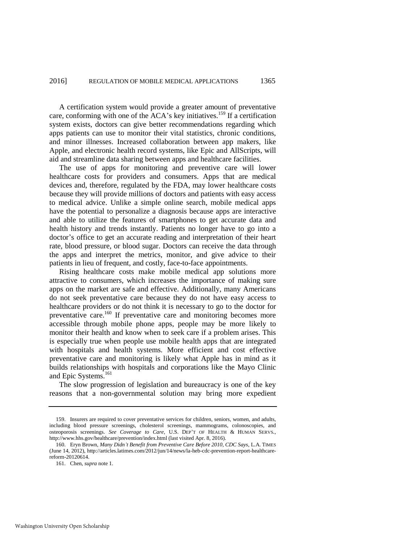A certification system would provide a greater amount of preventative care, conforming with one of the ACA's key initiatives.<sup>159</sup> If a certification system exists, doctors can give better recommendations regarding which apps patients can use to monitor their vital statistics, chronic conditions, and minor illnesses. Increased collaboration between app makers, like Apple, and electronic health record systems, like Epic and AllScripts, will aid and streamline data sharing between apps and healthcare facilities.

The use of apps for monitoring and preventive care will lower healthcare costs for providers and consumers. Apps that are medical devices and, therefore, regulated by the FDA, may lower healthcare costs because they will provide millions of doctors and patients with easy access to medical advice. Unlike a simple online search, mobile medical apps have the potential to personalize a diagnosis because apps are interactive and able to utilize the features of smartphones to get accurate data and health history and trends instantly. Patients no longer have to go into a doctor's office to get an accurate reading and interpretation of their heart rate, blood pressure, or blood sugar. Doctors can receive the data through the apps and interpret the metrics, monitor, and give advice to their patients in lieu of frequent, and costly, face-to-face appointments.

Rising healthcare costs make mobile medical app solutions more attractive to consumers, which increases the importance of making sure apps on the market are safe and effective. Additionally, many Americans do not seek preventative care because they do not have easy access to healthcare providers or do not think it is necessary to go to the doctor for preventative care.<sup>160</sup> If preventative care and monitoring becomes more accessible through mobile phone apps, people may be more likely to monitor their health and know when to seek care if a problem arises. This is especially true when people use mobile health apps that are integrated with hospitals and health systems. More efficient and cost effective preventative care and monitoring is likely what Apple has in mind as it builds relationships with hospitals and corporations like the Mayo Clinic and Epic Systems.<sup>161</sup>

The slow progression of legislation and bureaucracy is one of the key reasons that a non-governmental solution may bring more expedient

<sup>159.</sup> Insurers are required to cover preventative services for children, seniors, women, and adults, including blood pressure screenings, cholesterol screenings, mammograms, colonoscopies, and osteoporosis screenings. *See Coverage to Care*, U.S. DEP'T OF HEALTH & HUMAN SERVS., http://www.hhs.gov/healthcare/prevention/index.html (last visited Apr. 8, 2016).

<sup>160.</sup> Eryn Brown, *Many Didn't Benefit from Preventive Care Before 2010, CDC Says*, L.A. TIMES (June 14, 2012), http://articles.latimes.com/2012/jun/14/news/la-heb-cdc-prevention-report-healthcarereform-20120614.

<sup>161.</sup> Chen, *supra* not[e 1.](#page-1-3)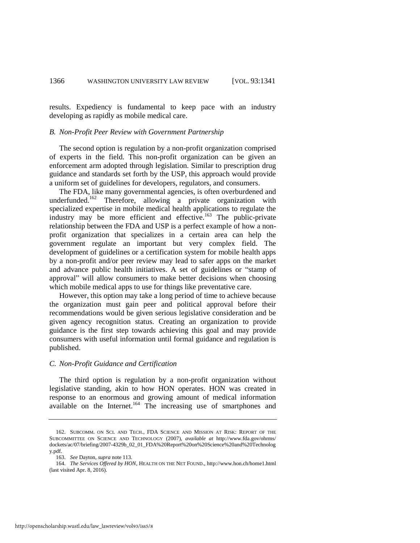results. Expediency is fundamental to keep pace with an industry developing as rapidly as mobile medical care.

#### *B. Non-Profit Peer Review with Government Partnership*

The second option is regulation by a non-profit organization comprised of experts in the field. This non-profit organization can be given an enforcement arm adopted through legislation. Similar to prescription drug guidance and standards set forth by the USP, this approach would provide a uniform set of guidelines for developers, regulators, and consumers.

The FDA, like many governmental agencies, is often overburdened and underfunded.<sup>162</sup> Therefore, allowing a private organization with specialized expertise in mobile medical health applications to regulate the industry may be more efficient and effective.<sup>163</sup> The public-private relationship between the FDA and USP is a perfect example of how a nonprofit organization that specializes in a certain area can help the government regulate an important but very complex field. The development of guidelines or a certification system for mobile health apps by a non-profit and/or peer review may lead to safer apps on the market and advance public health initiatives. A set of guidelines or "stamp of approval" will allow consumers to make better decisions when choosing which mobile medical apps to use for things like preventative care.

However, this option may take a long period of time to achieve because the organization must gain peer and political approval before their recommendations would be given serious legislative consideration and be given agency recognition status. Creating an organization to provide guidance is the first step towards achieving this goal and may provide consumers with useful information until formal guidance and regulation is published.

#### *C. Non-Profit Guidance and Certification*

The third option is regulation by a non-profit organization without legislative standing, akin to how HON operates. HON was created in response to an enormous and growing amount of medical information available on the Internet.<sup>164</sup> The increasing use of smartphones and

<sup>162.</sup> SUBCOMM. ON SCI. AND TECH., FDA SCIENCE AND MISSION AT RISK: REPORT OF THE SUBCOMMITTEE ON SCIENCE AND TECHNOLOGY (2007), *available at* http://www.fda.gov/ohrms/ dockets/ac/07/briefing/2007-4329b\_02\_01\_FDA%20Report%20on%20Science%20and%20Technolog y.pdf.

<sup>163.</sup> *See* Dayton, *supra* not[e 113.](#page-18-1) 

<sup>164.</sup> *The Services Offered by HON*, HEALTH ON THE NET FOUND., <http://www.hon.ch/home1.html> (last visited Apr. 8, 2016).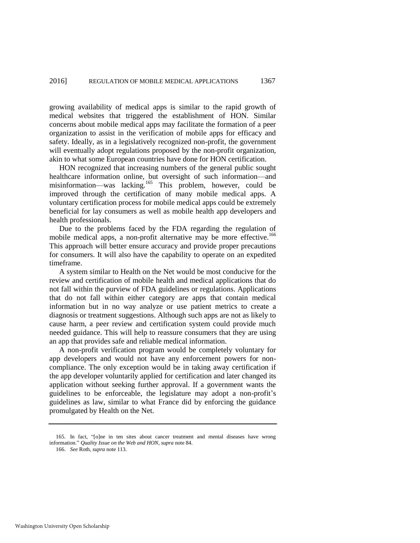growing availability of medical apps is similar to the rapid growth of medical websites that triggered the establishment of HON. Similar concerns about mobile medical apps may facilitate the formation of a peer organization to assist in the verification of mobile apps for efficacy and safety. Ideally, as in a legislatively recognized non-profit, the government will eventually adopt regulations proposed by the non-profit organization, akin to what some European countries have done for HON certification.

HON recognized that increasing numbers of the general public sought healthcare information online, but oversight of such information—and misinformation—was lacking.<sup>165</sup> This problem, however, could be improved through the certification of many mobile medical apps. A voluntary certification process for mobile medical apps could be extremely beneficial for lay consumers as well as mobile health app developers and health professionals.

Due to the problems faced by the FDA regarding the regulation of mobile medical apps, a non-profit alternative may be more effective.<sup>166</sup> This approach will better ensure accuracy and provide proper precautions for consumers. It will also have the capability to operate on an expedited timeframe.

A system similar to Health on the Net would be most conducive for the review and certification of mobile health and medical applications that do not fall within the purview of FDA guidelines or regulations. Applications that do not fall within either category are apps that contain medical information but in no way analyze or use patient metrics to create a diagnosis or treatment suggestions. Although such apps are not as likely to cause harm, a peer review and certification system could provide much needed guidance. This will help to reassure consumers that they are using an app that provides safe and reliable medical information.

A non-profit verification program would be completely voluntary for app developers and would not have any enforcement powers for noncompliance. The only exception would be in taking away certification if the app developer voluntarily applied for certification and later changed its application without seeking further approval. If a government wants the guidelines to be enforceable, the legislature may adopt a non-profit's guidelines as law, similar to what France did by enforcing the guidance promulgated by Health on the Net.

<sup>165.</sup> In fact, "[o]ne in ten sites about cancer treatment and mental diseases have wrong information." *Quality Issue on the Web and HON*, *supra* not[e 84.](#page-12-1) 

<sup>166.</sup> *See* Roth, *supra* not[e 113.](#page-18-1)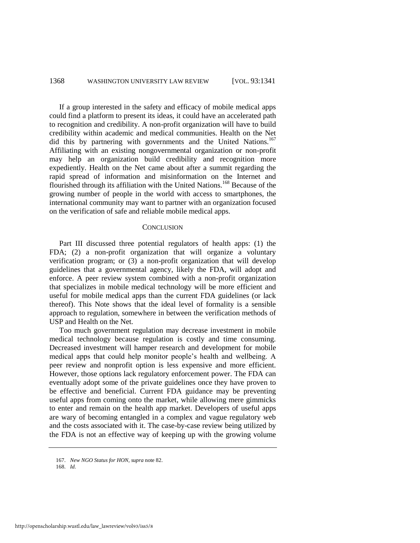#### 1368 WASHINGTON UNIVERSITY LAW REVIEW [VOL. 93:1341]

If a group interested in the safety and efficacy of mobile medical apps could find a platform to present its ideas, it could have an accelerated path to recognition and credibility. A non-profit organization will have to build credibility within academic and medical communities. Health on the Net did this by partnering with governments and the United Nations.<sup>167</sup> Affiliating with an existing nongovernmental organization or non-profit may help an organization build credibility and recognition more expediently. Health on the Net came about after a summit regarding the rapid spread of information and misinformation on the Internet and flourished through its affiliation with the United Nations.<sup>168</sup> Because of the growing number of people in the world with access to smartphones, the international community may want to partner with an organization focused on the verification of safe and reliable mobile medical apps.

#### **CONCLUSION**

Part III discussed three potential regulators of health apps: (1) the FDA; (2) a non-profit organization that will organize a voluntary verification program; or (3) a non-profit organization that will develop guidelines that a governmental agency, likely the FDA, will adopt and enforce. A peer review system combined with a non-profit organization that specializes in mobile medical technology will be more efficient and useful for mobile medical apps than the current FDA guidelines (or lack thereof). This Note shows that the ideal level of formality is a sensible approach to regulation, somewhere in between the verification methods of USP and Health on the Net.

Too much government regulation may decrease investment in mobile medical technology because regulation is costly and time consuming. Decreased investment will hamper research and development for mobile medical apps that could help monitor people's health and wellbeing. A peer review and nonprofit option is less expensive and more efficient. However, those options lack regulatory enforcement power. The FDA can eventually adopt some of the private guidelines once they have proven to be effective and beneficial. Current FDA guidance may be preventing useful apps from coming onto the market, while allowing mere gimmicks to enter and remain on the health app market. Developers of useful apps are wary of becoming entangled in a complex and vague regulatory web and the costs associated with it. The case-by-case review being utilized by the FDA is not an effective way of keeping up with the growing volume

168. *Id.*

<sup>167.</sup> *New NGO Status for HON*, *supra* not[e 82.](#page-12-0)